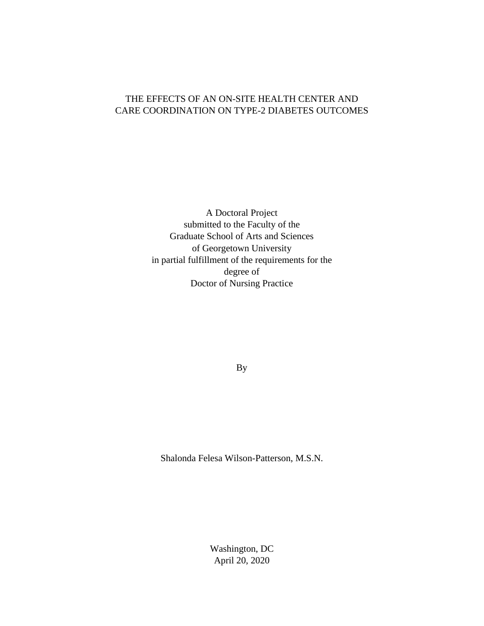## THE EFFECTS OF AN ON-SITE HEALTH CENTER AND CARE COORDINATION ON TYPE-2 DIABETES OUTCOMES

A Doctoral Project submitted to the Faculty of the Graduate School of Arts and Sciences of Georgetown University in partial fulfillment of the requirements for the degree of Doctor of Nursing Practice

By

Shalonda Felesa Wilson-Patterson, M.S.N.

Washington, DC April 20, 2020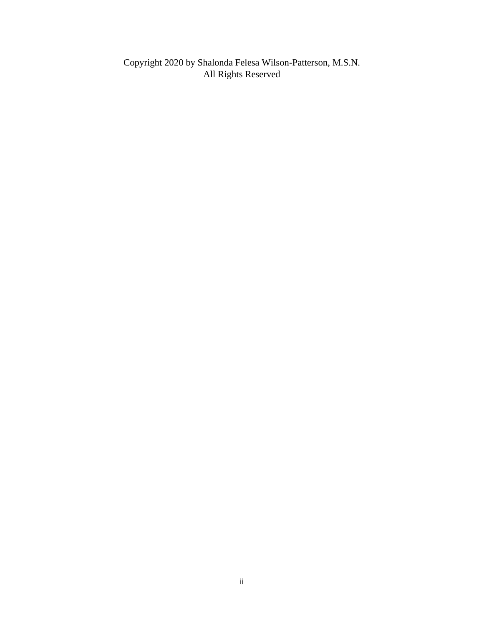Copyright 2020 by Shalonda Felesa Wilson-Patterson, M.S.N. All Rights Reserved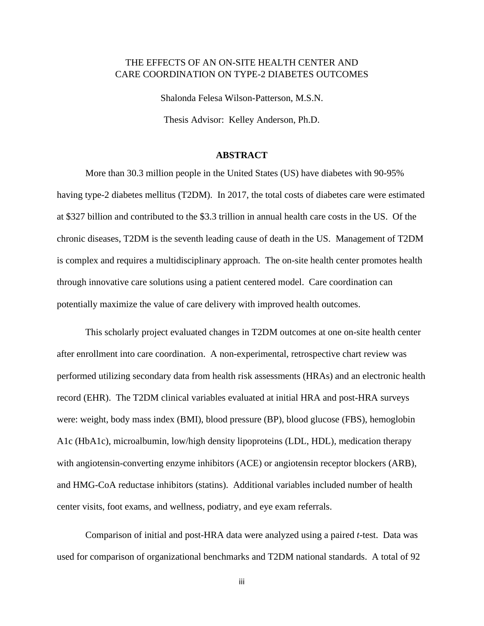## THE EFFECTS OF AN ON-SITE HEALTH CENTER AND CARE COORDINATION ON TYPE-2 DIABETES OUTCOMES

Shalonda Felesa Wilson-Patterson, M.S.N. Thesis Advisor: Kelley Anderson, Ph.D.

## **ABSTRACT**

More than 30.3 million people in the United States (US) have diabetes with 90-95% having type-2 diabetes mellitus (T2DM). In 2017, the total costs of diabetes care were estimated at \$327 billion and contributed to the \$3.3 trillion in annual health care costs in the US. Of the chronic diseases, T2DM is the seventh leading cause of death in the US. Management of T2DM is complex and requires a multidisciplinary approach. The on-site health center promotes health through innovative care solutions using a patient centered model. Care coordination can potentially maximize the value of care delivery with improved health outcomes.

This scholarly project evaluated changes in T2DM outcomes at one on-site health center after enrollment into care coordination. A non-experimental, retrospective chart review was performed utilizing secondary data from health risk assessments (HRAs) and an electronic health record (EHR). The T2DM clinical variables evaluated at initial HRA and post-HRA surveys were: weight, body mass index (BMI), blood pressure (BP), blood glucose (FBS), hemoglobin A1c (HbA1c), microalbumin, low/high density lipoproteins (LDL, HDL), medication therapy with angiotensin-converting enzyme inhibitors (ACE) or angiotensin receptor blockers (ARB), and HMG-CoA reductase inhibitors (statins). Additional variables included number of health center visits, foot exams, and wellness, podiatry, and eye exam referrals.

Comparison of initial and post-HRA data were analyzed using a paired *t*-test. Data was used for comparison of organizational benchmarks and T2DM national standards. A total of 92

iii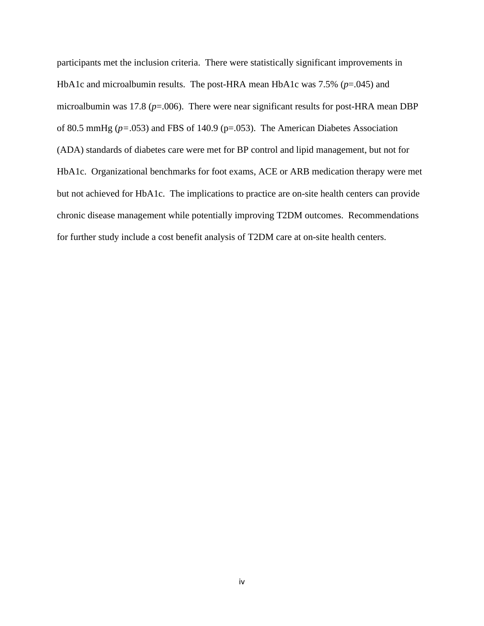participants met the inclusion criteria. There were statistically significant improvements in HbA1c and microalbumin results. The post-HRA mean HbA1c was 7.5% (*p*=.045) and microalbumin was 17.8 ( $p=0.006$ ). There were near significant results for post-HRA mean DBP of 80.5 mmHg (*p=*.053) and FBS of 140.9 (p=.053). The American Diabetes Association (ADA) standards of diabetes care were met for BP control and lipid management, but not for HbA1c. Organizational benchmarks for foot exams, ACE or ARB medication therapy were met but not achieved for HbA1c. The implications to practice are on-site health centers can provide chronic disease management while potentially improving T2DM outcomes. Recommendations for further study include a cost benefit analysis of T2DM care at on-site health centers.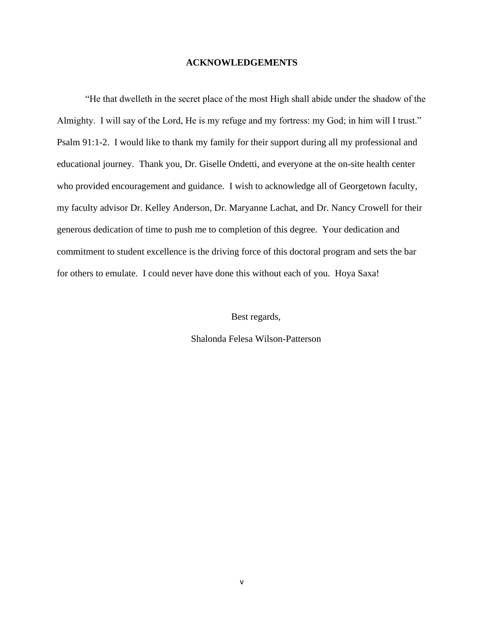## **ACKNOWLEDGEMENTS**

"He that dwelleth in the secret place of the most High shall abide under the shadow of the Almighty. I will say of the Lord, He is my refuge and my fortress: my God; in him will I trust." Psalm 91:1-2. I would like to thank my family for their support during all my professional and educational journey. Thank you, Dr. Giselle Ondetti, and everyone at the on-site health center who provided encouragement and guidance. I wish to acknowledge all of Georgetown faculty, my faculty advisor Dr. Kelley Anderson, Dr. Maryanne Lachat, and Dr. Nancy Crowell for their generous dedication of time to push me to completion of this degree. Your dedication and commitment to student excellence is the driving force of this doctoral program and sets the bar for others to emulate. I could never have done this without each of you. Hoya Saxa!

Best regards,

Shalonda Felesa Wilson-Patterson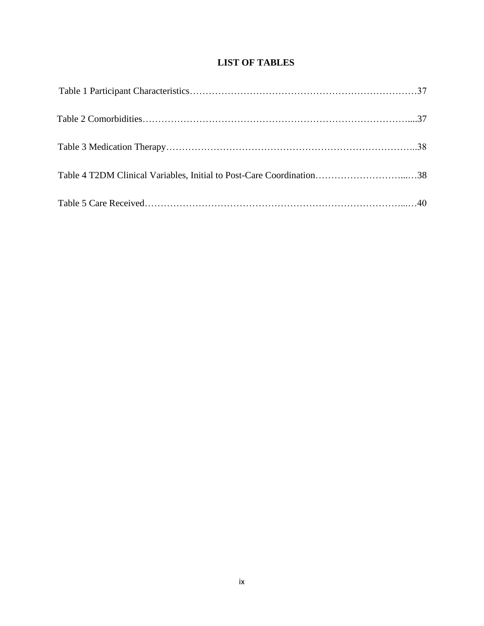## **LIST OF TABLES**

| Table 4 T2DM Clinical Variables, Initial to Post-Care Coordination38 |  |
|----------------------------------------------------------------------|--|
|                                                                      |  |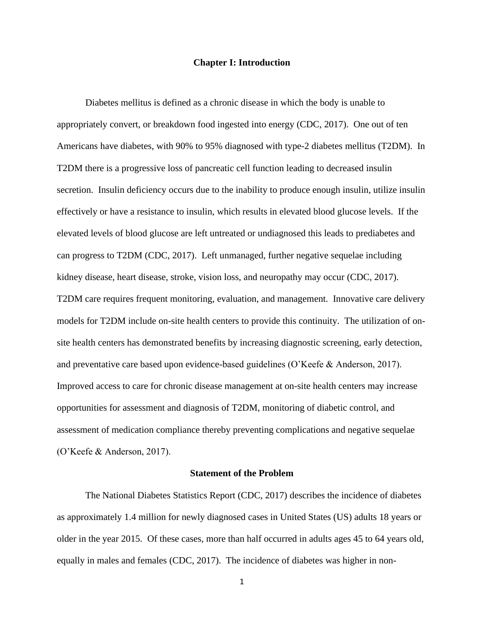## **Chapter I: Introduction**

Diabetes mellitus is defined as a chronic disease in which the body is unable to appropriately convert, or breakdown food ingested into energy (CDC, 2017). One out of ten Americans have diabetes, with 90% to 95% diagnosed with type-2 diabetes mellitus (T2DM). In T2DM there is a progressive loss of pancreatic cell function leading to decreased insulin secretion. Insulin deficiency occurs due to the inability to produce enough insulin, utilize insulin effectively or have a resistance to insulin, which results in elevated blood glucose levels. If the elevated levels of blood glucose are left untreated or undiagnosed this leads to prediabetes and can progress to T2DM (CDC, 2017). Left unmanaged, further negative sequelae including kidney disease, heart disease, stroke, vision loss, and neuropathy may occur (CDC, 2017). T2DM care requires frequent monitoring, evaluation, and management. Innovative care delivery models for T2DM include on-site health centers to provide this continuity. The utilization of onsite health centers has demonstrated benefits by increasing diagnostic screening, early detection, and preventative care based upon evidence-based guidelines (O'Keefe & Anderson, 2017). Improved access to care for chronic disease management at on-site health centers may increase opportunities for assessment and diagnosis of T2DM, monitoring of diabetic control, and assessment of medication compliance thereby preventing complications and negative sequelae (O'Keefe & Anderson, 2017).

## **Statement of the Problem**

The National Diabetes Statistics Report (CDC, 2017) describes the incidence of diabetes as approximately 1.4 million for newly diagnosed cases in United States (US) adults 18 years or older in the year 2015. Of these cases, more than half occurred in adults ages 45 to 64 years old, equally in males and females (CDC, 2017). The incidence of diabetes was higher in non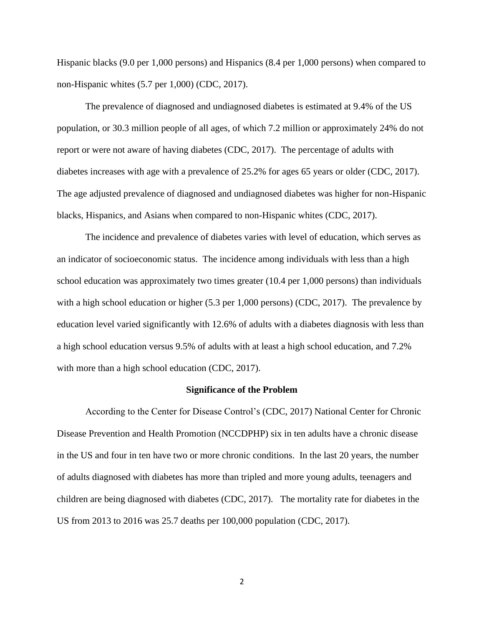Hispanic blacks (9.0 per 1,000 persons) and Hispanics (8.4 per 1,000 persons) when compared to non-Hispanic whites (5.7 per 1,000) (CDC, 2017).

The prevalence of diagnosed and undiagnosed diabetes is estimated at 9.4% of the US population, or 30.3 million people of all ages, of which 7.2 million or approximately 24% do not report or were not aware of having diabetes (CDC, 2017). The percentage of adults with diabetes increases with age with a prevalence of 25.2% for ages 65 years or older (CDC, 2017). The age adjusted prevalence of diagnosed and undiagnosed diabetes was higher for non-Hispanic blacks, Hispanics, and Asians when compared to non-Hispanic whites (CDC, 2017).

The incidence and prevalence of diabetes varies with level of education, which serves as an indicator of socioeconomic status. The incidence among individuals with less than a high school education was approximately two times greater (10.4 per 1,000 persons) than individuals with a high school education or higher (5.3 per 1,000 persons) (CDC, 2017). The prevalence by education level varied significantly with 12.6% of adults with a diabetes diagnosis with less than a high school education versus 9.5% of adults with at least a high school education, and 7.2% with more than a high school education (CDC, 2017).

#### **Significance of the Problem**

According to the Center for Disease Control's (CDC, 2017) National Center for Chronic Disease Prevention and Health Promotion (NCCDPHP) six in ten adults have a chronic disease in the US and four in ten have two or more chronic conditions. In the last 20 years, the number of adults diagnosed with diabetes has more than tripled and more young adults, teenagers and children are being diagnosed with diabetes (CDC, 2017). The mortality rate for diabetes in the US from 2013 to 2016 was 25.7 deaths per 100,000 population (CDC, 2017).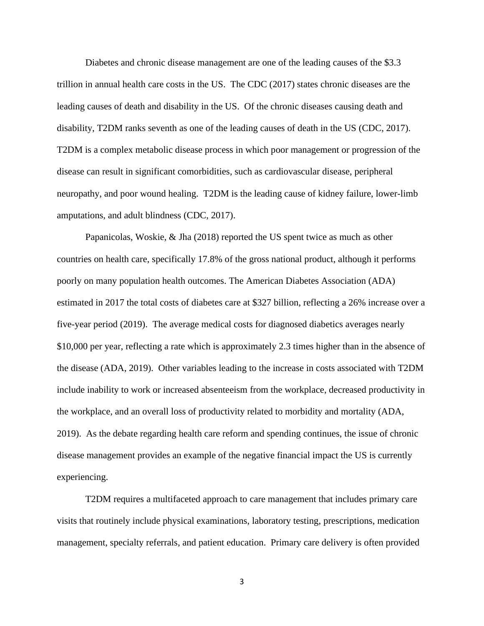Diabetes and chronic disease management are one of the leading causes of the \$3.3 trillion in annual health care costs in the US. The CDC (2017) states chronic diseases are the leading causes of death and disability in the US. Of the chronic diseases causing death and disability, T2DM ranks seventh as one of the leading causes of death in the US (CDC, 2017). T2DM is a complex metabolic disease process in which poor management or progression of the disease can result in significant comorbidities, such as cardiovascular disease, peripheral neuropathy, and poor wound healing. T2DM is the leading cause of kidney failure, lower-limb amputations, and adult blindness (CDC, 2017).

Papanicolas, Woskie, & Jha (2018) reported the US spent twice as much as other countries on health care, specifically 17.8% of the gross national product, although it performs poorly on many population health outcomes. The American Diabetes Association (ADA) estimated in 2017 the total costs of diabetes care at \$327 billion, reflecting a 26% increase over a five-year period (2019). The average medical costs for diagnosed diabetics averages nearly \$10,000 per year, reflecting a rate which is approximately 2.3 times higher than in the absence of the disease (ADA, 2019). Other variables leading to the increase in costs associated with T2DM include inability to work or increased absenteeism from the workplace, decreased productivity in the workplace, and an overall loss of productivity related to morbidity and mortality (ADA, 2019). As the debate regarding health care reform and spending continues, the issue of chronic disease management provides an example of the negative financial impact the US is currently experiencing.

T2DM requires a multifaceted approach to care management that includes primary care visits that routinely include physical examinations, laboratory testing, prescriptions, medication management, specialty referrals, and patient education. Primary care delivery is often provided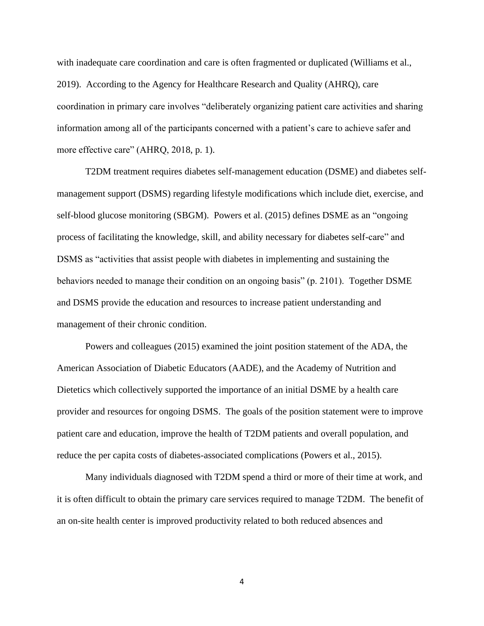with inadequate care coordination and care is often fragmented or duplicated (Williams et al., 2019). According to the Agency for Healthcare Research and Quality (AHRQ), care coordination in primary care involves "deliberately organizing patient care activities and sharing information among all of the participants concerned with a patient's care to achieve safer and more effective care" (AHRQ, 2018, p. 1).

T2DM treatment requires diabetes self-management education (DSME) and diabetes selfmanagement support (DSMS) regarding lifestyle modifications which include diet, exercise, and self-blood glucose monitoring (SBGM). Powers et al. (2015) defines DSME as an "ongoing process of facilitating the knowledge, skill, and ability necessary for diabetes self-care" and DSMS as "activities that assist people with diabetes in implementing and sustaining the behaviors needed to manage their condition on an ongoing basis" (p. 2101). Together DSME and DSMS provide the education and resources to increase patient understanding and management of their chronic condition.

Powers and colleagues (2015) examined the joint position statement of the ADA, the American Association of Diabetic Educators (AADE), and the Academy of Nutrition and Dietetics which collectively supported the importance of an initial DSME by a health care provider and resources for ongoing DSMS. The goals of the position statement were to improve patient care and education, improve the health of T2DM patients and overall population, and reduce the per capita costs of diabetes-associated complications (Powers et al., 2015).

Many individuals diagnosed with T2DM spend a third or more of their time at work, and it is often difficult to obtain the primary care services required to manage T2DM. The benefit of an on-site health center is improved productivity related to both reduced absences and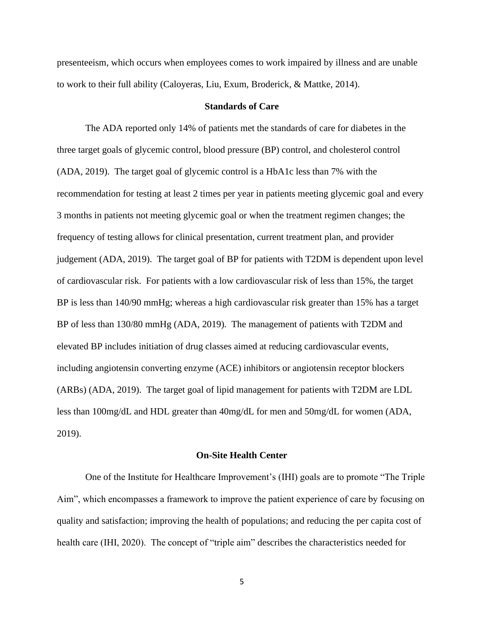presenteeism, which occurs when employees comes to work impaired by illness and are unable to work to their full ability (Caloyeras, Liu, Exum, Broderick, & Mattke, 2014).

## **Standards of Care**

The ADA reported only 14% of patients met the standards of care for diabetes in the three target goals of glycemic control, blood pressure (BP) control, and cholesterol control (ADA, 2019). The target goal of glycemic control is a HbA1c less than 7% with the recommendation for testing at least 2 times per year in patients meeting glycemic goal and every 3 months in patients not meeting glycemic goal or when the treatment regimen changes; the frequency of testing allows for clinical presentation, current treatment plan, and provider judgement (ADA, 2019). The target goal of BP for patients with T2DM is dependent upon level of cardiovascular risk. For patients with a low cardiovascular risk of less than 15%, the target BP is less than 140/90 mmHg; whereas a high cardiovascular risk greater than 15% has a target BP of less than 130/80 mmHg (ADA, 2019). The management of patients with T2DM and elevated BP includes initiation of drug classes aimed at reducing cardiovascular events, including angiotensin converting enzyme (ACE) inhibitors or angiotensin receptor blockers (ARBs) (ADA, 2019). The target goal of lipid management for patients with T2DM are LDL less than 100mg/dL and HDL greater than 40mg/dL for men and 50mg/dL for women (ADA, 2019).

### **On-Site Health Center**

One of the Institute for Healthcare Improvement's (IHI) goals are to promote "The Triple Aim", which encompasses a framework to improve the patient experience of care by focusing on quality and satisfaction; improving the health of populations; and reducing the per capita cost of health care (IHI, 2020). The concept of "triple aim" describes the characteristics needed for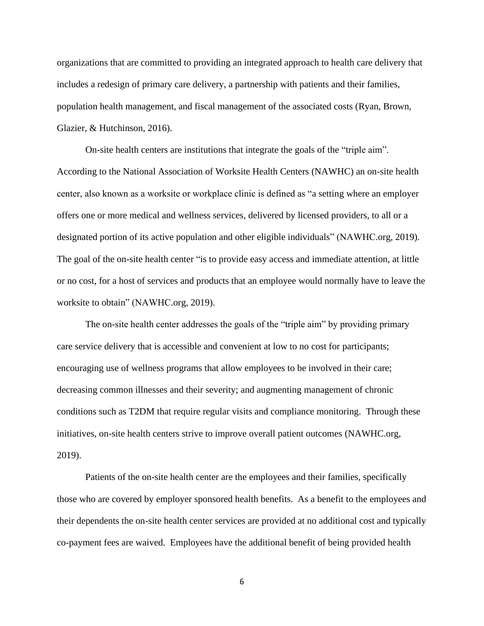organizations that are committed to providing an integrated approach to health care delivery that includes a redesign of primary care delivery, a partnership with patients and their families, population health management, and fiscal management of the associated costs (Ryan, Brown, Glazier, & Hutchinson, 2016).

On-site health centers are institutions that integrate the goals of the "triple aim". According to the National Association of Worksite Health Centers (NAWHC) an on-site health center, also known as a worksite or workplace clinic is defined as "a setting where an employer offers one or more medical and wellness services, delivered by licensed providers, to all or a designated portion of its active population and other eligible individuals" (NAWHC.org, 2019). The goal of the on-site health center "is to provide easy access and immediate attention, at little or no cost, for a host of services and products that an employee would normally have to leave the worksite to obtain" (NAWHC.org, 2019).

The on-site health center addresses the goals of the "triple aim" by providing primary care service delivery that is accessible and convenient at low to no cost for participants; encouraging use of wellness programs that allow employees to be involved in their care; decreasing common illnesses and their severity; and augmenting management of chronic conditions such as T2DM that require regular visits and compliance monitoring. Through these initiatives, on-site health centers strive to improve overall patient outcomes (NAWHC.org, 2019).

Patients of the on-site health center are the employees and their families, specifically those who are covered by employer sponsored health benefits. As a benefit to the employees and their dependents the on-site health center services are provided at no additional cost and typically co-payment fees are waived. Employees have the additional benefit of being provided health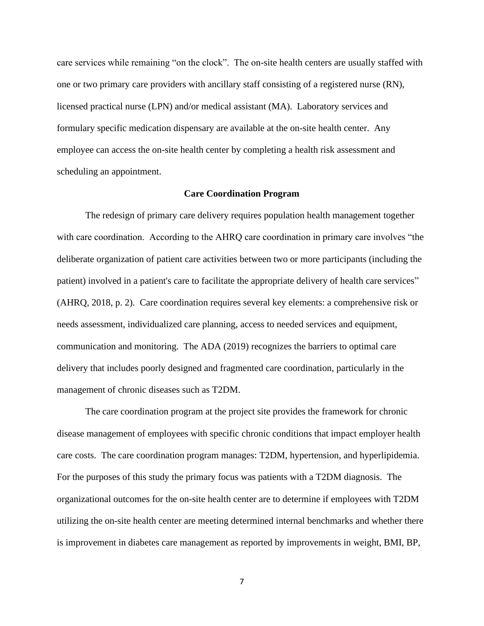care services while remaining "on the clock". The on-site health centers are usually staffed with one or two primary care providers with ancillary staff consisting of a registered nurse (RN), licensed practical nurse (LPN) and/or medical assistant (MA). Laboratory services and formulary specific medication dispensary are available at the on-site health center. Any employee can access the on-site health center by completing a health risk assessment and scheduling an appointment.

## **Care Coordination Program**

The redesign of primary care delivery requires population health management together with care coordination. According to the AHRQ care coordination in primary care involves "the deliberate organization of patient care activities between two or more participants (including the patient) involved in a patient's care to facilitate the appropriate delivery of health care services" (AHRQ, 2018, p. 2). Care coordination requires several key elements: a comprehensive risk or needs assessment, individualized care planning, access to needed services and equipment, communication and monitoring. The ADA (2019) recognizes the barriers to optimal care delivery that includes poorly designed and fragmented care coordination, particularly in the management of chronic diseases such as T2DM.

The care coordination program at the project site provides the framework for chronic disease management of employees with specific chronic conditions that impact employer health care costs. The care coordination program manages: T2DM, hypertension, and hyperlipidemia. For the purposes of this study the primary focus was patients with a T2DM diagnosis. The organizational outcomes for the on-site health center are to determine if employees with T2DM utilizing the on-site health center are meeting determined internal benchmarks and whether there is improvement in diabetes care management as reported by improvements in weight, BMI, BP,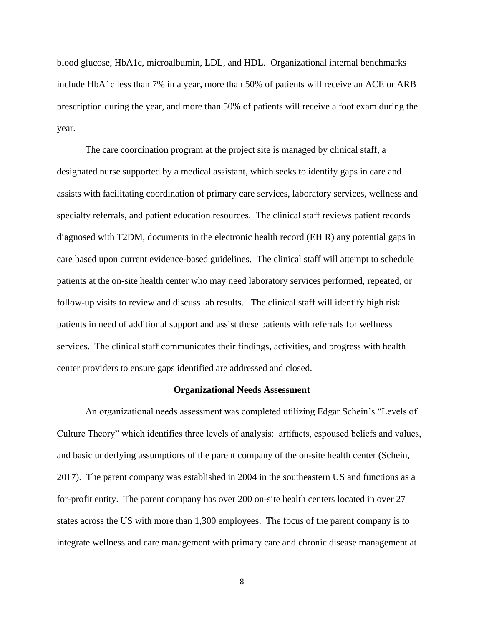blood glucose, HbA1c, microalbumin, LDL, and HDL. Organizational internal benchmarks include HbA1c less than 7% in a year, more than 50% of patients will receive an ACE or ARB prescription during the year, and more than 50% of patients will receive a foot exam during the year.

The care coordination program at the project site is managed by clinical staff, a designated nurse supported by a medical assistant, which seeks to identify gaps in care and assists with facilitating coordination of primary care services, laboratory services, wellness and specialty referrals, and patient education resources. The clinical staff reviews patient records diagnosed with T2DM, documents in the electronic health record (EH R) any potential gaps in care based upon current evidence-based guidelines. The clinical staff will attempt to schedule patients at the on-site health center who may need laboratory services performed, repeated, or follow-up visits to review and discuss lab results. The clinical staff will identify high risk patients in need of additional support and assist these patients with referrals for wellness services. The clinical staff communicates their findings, activities, and progress with health center providers to ensure gaps identified are addressed and closed.

#### **Organizational Needs Assessment**

An organizational needs assessment was completed utilizing Edgar Schein's "Levels of Culture Theory" which identifies three levels of analysis: artifacts, espoused beliefs and values, and basic underlying assumptions of the parent company of the on-site health center (Schein, 2017). The parent company was established in 2004 in the southeastern US and functions as a for-profit entity. The parent company has over 200 on-site health centers located in over 27 states across the US with more than 1,300 employees. The focus of the parent company is to integrate wellness and care management with primary care and chronic disease management at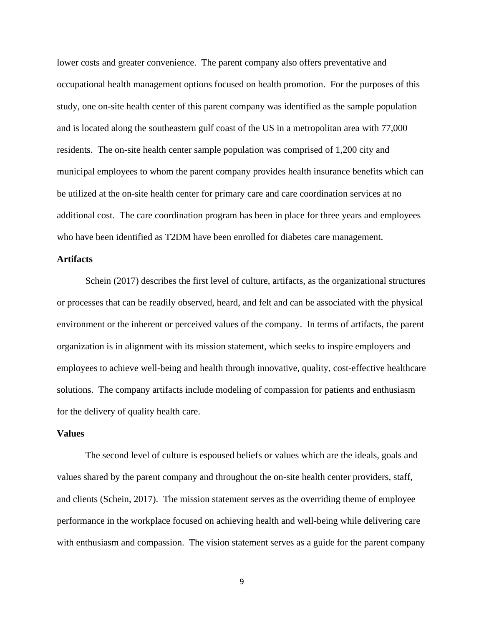lower costs and greater convenience. The parent company also offers preventative and occupational health management options focused on health promotion. For the purposes of this study, one on-site health center of this parent company was identified as the sample population and is located along the southeastern gulf coast of the US in a metropolitan area with 77,000 residents. The on-site health center sample population was comprised of 1,200 city and municipal employees to whom the parent company provides health insurance benefits which can be utilized at the on-site health center for primary care and care coordination services at no additional cost. The care coordination program has been in place for three years and employees who have been identified as T2DM have been enrolled for diabetes care management.

## **Artifacts**

Schein (2017) describes the first level of culture, artifacts, as the organizational structures or processes that can be readily observed, heard, and felt and can be associated with the physical environment or the inherent or perceived values of the company. In terms of artifacts, the parent organization is in alignment with its mission statement, which seeks to inspire employers and employees to achieve well-being and health through innovative, quality, cost-effective healthcare solutions. The company artifacts include modeling of compassion for patients and enthusiasm for the delivery of quality health care.

## **Values**

The second level of culture is espoused beliefs or values which are the ideals, goals and values shared by the parent company and throughout the on-site health center providers, staff, and clients (Schein, 2017). The mission statement serves as the overriding theme of employee performance in the workplace focused on achieving health and well-being while delivering care with enthusiasm and compassion. The vision statement serves as a guide for the parent company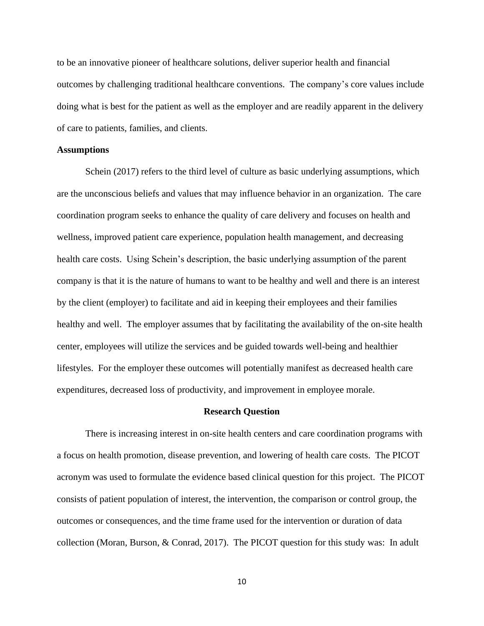to be an innovative pioneer of healthcare solutions, deliver superior health and financial outcomes by challenging traditional healthcare conventions. The company's core values include doing what is best for the patient as well as the employer and are readily apparent in the delivery of care to patients, families, and clients.

### **Assumptions**

Schein (2017) refers to the third level of culture as basic underlying assumptions, which are the unconscious beliefs and values that may influence behavior in an organization. The care coordination program seeks to enhance the quality of care delivery and focuses on health and wellness, improved patient care experience, population health management, and decreasing health care costs. Using Schein's description, the basic underlying assumption of the parent company is that it is the nature of humans to want to be healthy and well and there is an interest by the client (employer) to facilitate and aid in keeping their employees and their families healthy and well. The employer assumes that by facilitating the availability of the on-site health center, employees will utilize the services and be guided towards well-being and healthier lifestyles. For the employer these outcomes will potentially manifest as decreased health care expenditures, decreased loss of productivity, and improvement in employee morale.

#### **Research Question**

There is increasing interest in on-site health centers and care coordination programs with a focus on health promotion, disease prevention, and lowering of health care costs. The PICOT acronym was used to formulate the evidence based clinical question for this project. The PICOT consists of patient population of interest, the intervention, the comparison or control group, the outcomes or consequences, and the time frame used for the intervention or duration of data collection (Moran, Burson, & Conrad, 2017). The PICOT question for this study was: In adult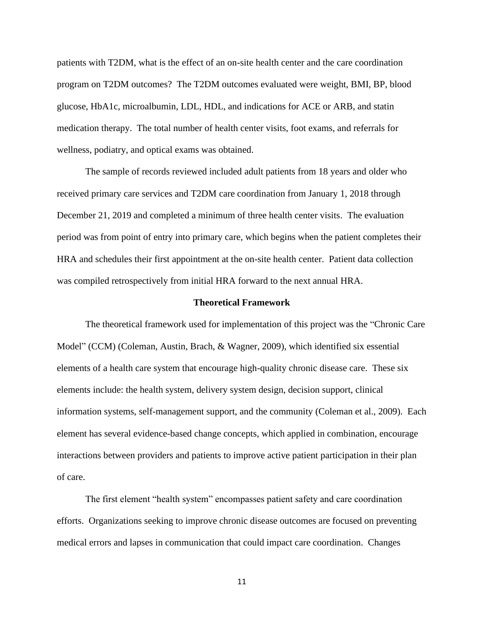patients with T2DM, what is the effect of an on-site health center and the care coordination program on T2DM outcomes? The T2DM outcomes evaluated were weight, BMI, BP, blood glucose, HbA1c, microalbumin, LDL, HDL, and indications for ACE or ARB, and statin medication therapy. The total number of health center visits, foot exams, and referrals for wellness, podiatry, and optical exams was obtained.

The sample of records reviewed included adult patients from 18 years and older who received primary care services and T2DM care coordination from January 1, 2018 through December 21, 2019 and completed a minimum of three health center visits. The evaluation period was from point of entry into primary care, which begins when the patient completes their HRA and schedules their first appointment at the on-site health center. Patient data collection was compiled retrospectively from initial HRA forward to the next annual HRA.

## **Theoretical Framework**

The theoretical framework used for implementation of this project was the "Chronic Care Model" (CCM) (Coleman, Austin, Brach, & Wagner, 2009), which identified six essential elements of a health care system that encourage high-quality chronic disease care. These six elements include: the health system, delivery system design, decision support, clinical information systems, self-management support, and the community (Coleman et al., 2009). Each element has several evidence-based change concepts, which applied in combination, encourage interactions between providers and patients to improve active patient participation in their plan of care.

The first element "health system" encompasses patient safety and care coordination efforts. Organizations seeking to improve chronic disease outcomes are focused on preventing medical errors and lapses in communication that could impact care coordination. Changes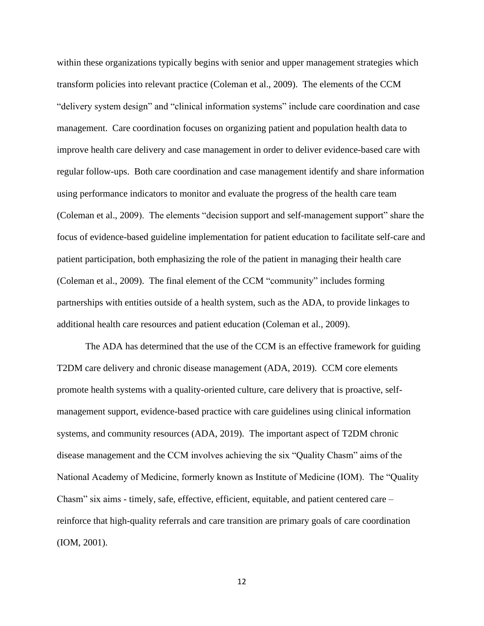within these organizations typically begins with senior and upper management strategies which transform policies into relevant practice (Coleman et al., 2009). The elements of the CCM "delivery system design" and "clinical information systems" include care coordination and case management. Care coordination focuses on organizing patient and population health data to improve health care delivery and case management in order to deliver evidence-based care with regular follow-ups. Both care coordination and case management identify and share information using performance indicators to monitor and evaluate the progress of the health care team (Coleman et al., 2009). The elements "decision support and self-management support" share the focus of evidence-based guideline implementation for patient education to facilitate self-care and patient participation, both emphasizing the role of the patient in managing their health care (Coleman et al., 2009). The final element of the CCM "community" includes forming partnerships with entities outside of a health system, such as the ADA, to provide linkages to additional health care resources and patient education (Coleman et al., 2009).

The ADA has determined that the use of the CCM is an effective framework for guiding T2DM care delivery and chronic disease management (ADA, 2019). CCM core elements promote health systems with a quality-oriented culture, care delivery that is proactive, selfmanagement support, evidence-based practice with care guidelines using clinical information systems, and community resources (ADA, 2019). The important aspect of T2DM chronic disease management and the CCM involves achieving the six "Quality Chasm" aims of the National Academy of Medicine, formerly known as Institute of Medicine (IOM). The "Quality Chasm" six aims - timely, safe, effective, efficient, equitable, and patient centered care – reinforce that high-quality referrals and care transition are primary goals of care coordination (IOM, 2001).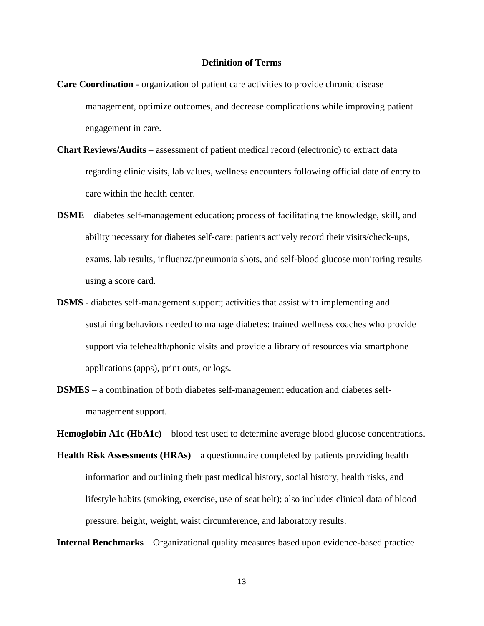## **Definition of Terms**

- **Care Coordination** organization of patient care activities to provide chronic disease management, optimize outcomes, and decrease complications while improving patient engagement in care.
- **Chart Reviews/Audits** assessment of patient medical record (electronic) to extract data regarding clinic visits, lab values, wellness encounters following official date of entry to care within the health center.
- **DSME** diabetes self-management education; process of facilitating the knowledge, skill, and ability necessary for diabetes self-care: patients actively record their visits/check-ups, exams, lab results, influenza/pneumonia shots, and self-blood glucose monitoring results using a score card.
- **DSMS** diabetes self-management support; activities that assist with implementing and sustaining behaviors needed to manage diabetes: trained wellness coaches who provide support via telehealth/phonic visits and provide a library of resources via smartphone applications (apps), print outs, or logs.
- **DSMES**  a combination of both diabetes self-management education and diabetes selfmanagement support.

**Hemoglobin A1c (HbA1c)** – blood test used to determine average blood glucose concentrations.

**Health Risk Assessments (HRAs)** – a questionnaire completed by patients providing health information and outlining their past medical history, social history, health risks, and lifestyle habits (smoking, exercise, use of seat belt); also includes clinical data of blood pressure, height, weight, waist circumference, and laboratory results.

**Internal Benchmarks** – Organizational quality measures based upon evidence-based practice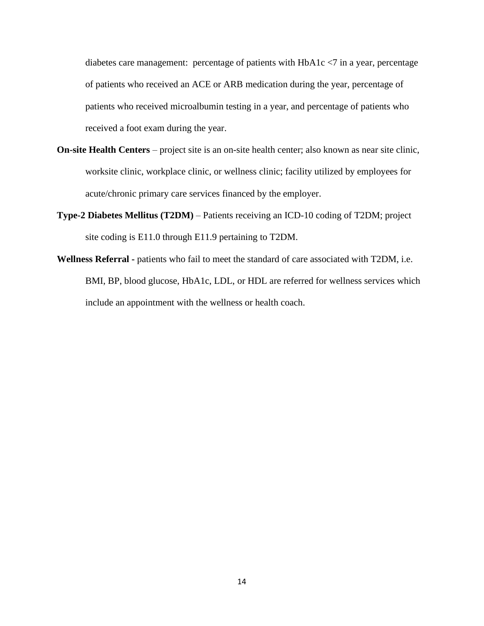diabetes care management: percentage of patients with HbA1c <7 in a year, percentage of patients who received an ACE or ARB medication during the year, percentage of patients who received microalbumin testing in a year, and percentage of patients who received a foot exam during the year.

- **On-site Health Centers** project site is an on-site health center; also known as near site clinic, worksite clinic, workplace clinic, or wellness clinic; facility utilized by employees for acute/chronic primary care services financed by the employer.
- **Type-2 Diabetes Mellitus (T2DM)** Patients receiving an ICD-10 coding of T2DM; project site coding is E11.0 through E11.9 pertaining to T2DM.
- **Wellness Referral -** patients who fail to meet the standard of care associated with T2DM, i.e. BMI, BP, blood glucose, HbA1c, LDL, or HDL are referred for wellness services which include an appointment with the wellness or health coach.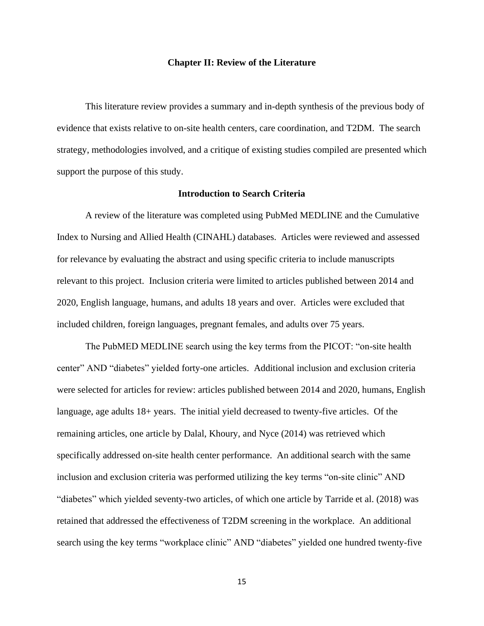#### **Chapter II: Review of the Literature**

This literature review provides a summary and in-depth synthesis of the previous body of evidence that exists relative to on-site health centers, care coordination, and T2DM. The search strategy, methodologies involved, and a critique of existing studies compiled are presented which support the purpose of this study.

## **Introduction to Search Criteria**

A review of the literature was completed using PubMed MEDLINE and the Cumulative Index to Nursing and Allied Health (CINAHL) databases. Articles were reviewed and assessed for relevance by evaluating the abstract and using specific criteria to include manuscripts relevant to this project. Inclusion criteria were limited to articles published between 2014 and 2020, English language, humans, and adults 18 years and over. Articles were excluded that included children, foreign languages, pregnant females, and adults over 75 years.

The PubMED MEDLINE search using the key terms from the PICOT: "on-site health center" AND "diabetes" yielded forty-one articles. Additional inclusion and exclusion criteria were selected for articles for review: articles published between 2014 and 2020, humans, English language, age adults 18+ years. The initial yield decreased to twenty-five articles. Of the remaining articles, one article by Dalal, Khoury, and Nyce (2014) was retrieved which specifically addressed on-site health center performance. An additional search with the same inclusion and exclusion criteria was performed utilizing the key terms "on-site clinic" AND "diabetes" which yielded seventy-two articles, of which one article by Tarride et al. (2018) was retained that addressed the effectiveness of T2DM screening in the workplace. An additional search using the key terms "workplace clinic" AND "diabetes" yielded one hundred twenty-five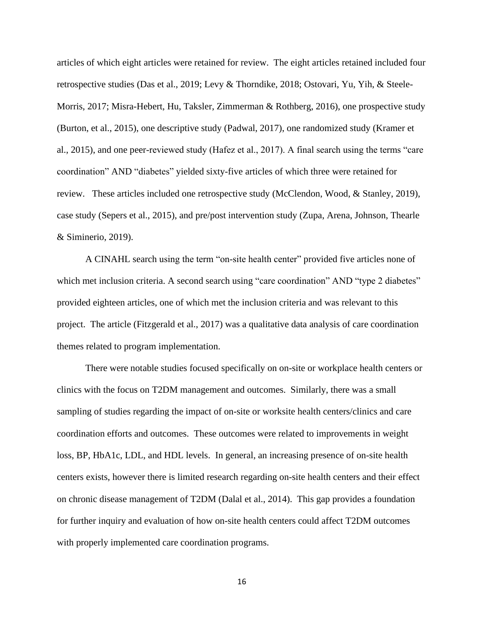articles of which eight articles were retained for review. The eight articles retained included four retrospective studies (Das et al., 2019; Levy & Thorndike, 2018; Ostovari, Yu, Yih, & Steele-Morris, 2017; Misra-Hebert, Hu, Taksler, Zimmerman & Rothberg, 2016), one prospective study (Burton, et al., 2015), one descriptive study (Padwal, 2017), one randomized study (Kramer et al., 2015), and one peer-reviewed study (Hafez et al., 2017). A final search using the terms "care coordination" AND "diabetes" yielded sixty-five articles of which three were retained for review. These articles included one retrospective study (McClendon, Wood, & Stanley, 2019), case study (Sepers et al., 2015), and pre/post intervention study (Zupa, Arena, Johnson, Thearle & Siminerio, 2019).

A CINAHL search using the term "on-site health center" provided five articles none of which met inclusion criteria. A second search using "care coordination" AND "type 2 diabetes" provided eighteen articles, one of which met the inclusion criteria and was relevant to this project. The article (Fitzgerald et al., 2017) was a qualitative data analysis of care coordination themes related to program implementation.

There were notable studies focused specifically on on-site or workplace health centers or clinics with the focus on T2DM management and outcomes. Similarly, there was a small sampling of studies regarding the impact of on-site or worksite health centers/clinics and care coordination efforts and outcomes. These outcomes were related to improvements in weight loss, BP, HbA1c, LDL, and HDL levels. In general, an increasing presence of on-site health centers exists, however there is limited research regarding on-site health centers and their effect on chronic disease management of T2DM (Dalal et al., 2014). This gap provides a foundation for further inquiry and evaluation of how on-site health centers could affect T2DM outcomes with properly implemented care coordination programs.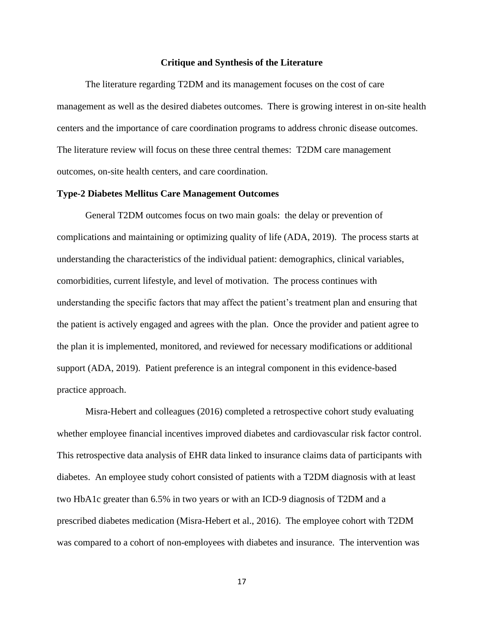#### **Critique and Synthesis of the Literature**

The literature regarding T2DM and its management focuses on the cost of care management as well as the desired diabetes outcomes. There is growing interest in on-site health centers and the importance of care coordination programs to address chronic disease outcomes. The literature review will focus on these three central themes: T2DM care management outcomes, on-site health centers, and care coordination.

#### **Type-2 Diabetes Mellitus Care Management Outcomes**

General T2DM outcomes focus on two main goals: the delay or prevention of complications and maintaining or optimizing quality of life (ADA, 2019). The process starts at understanding the characteristics of the individual patient: demographics, clinical variables, comorbidities, current lifestyle, and level of motivation. The process continues with understanding the specific factors that may affect the patient's treatment plan and ensuring that the patient is actively engaged and agrees with the plan. Once the provider and patient agree to the plan it is implemented, monitored, and reviewed for necessary modifications or additional support (ADA, 2019). Patient preference is an integral component in this evidence-based practice approach.

Misra-Hebert and colleagues (2016) completed a retrospective cohort study evaluating whether employee financial incentives improved diabetes and cardiovascular risk factor control. This retrospective data analysis of EHR data linked to insurance claims data of participants with diabetes. An employee study cohort consisted of patients with a T2DM diagnosis with at least two HbA1c greater than 6.5% in two years or with an ICD-9 diagnosis of T2DM and a prescribed diabetes medication (Misra-Hebert et al., 2016). The employee cohort with T2DM was compared to a cohort of non-employees with diabetes and insurance. The intervention was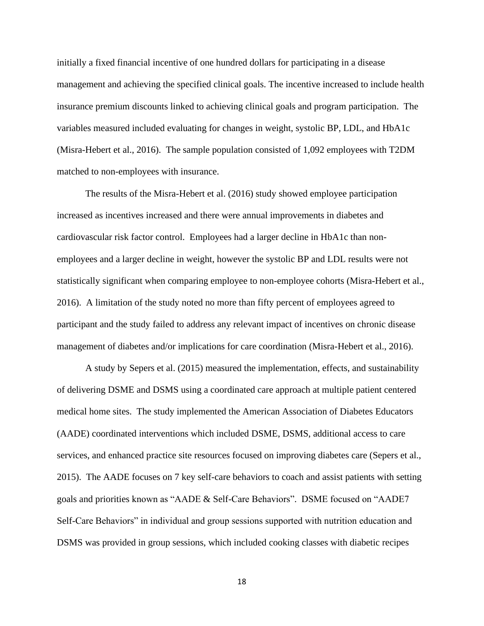initially a fixed financial incentive of one hundred dollars for participating in a disease management and achieving the specified clinical goals. The incentive increased to include health insurance premium discounts linked to achieving clinical goals and program participation. The variables measured included evaluating for changes in weight, systolic BP, LDL, and HbA1c (Misra-Hebert et al., 2016). The sample population consisted of 1,092 employees with T2DM matched to non-employees with insurance.

The results of the Misra-Hebert et al. (2016) study showed employee participation increased as incentives increased and there were annual improvements in diabetes and cardiovascular risk factor control. Employees had a larger decline in HbA1c than nonemployees and a larger decline in weight, however the systolic BP and LDL results were not statistically significant when comparing employee to non-employee cohorts (Misra-Hebert et al., 2016). A limitation of the study noted no more than fifty percent of employees agreed to participant and the study failed to address any relevant impact of incentives on chronic disease management of diabetes and/or implications for care coordination (Misra-Hebert et al., 2016).

A study by Sepers et al. (2015) measured the implementation, effects, and sustainability of delivering DSME and DSMS using a coordinated care approach at multiple patient centered medical home sites. The study implemented the American Association of Diabetes Educators (AADE) coordinated interventions which included DSME, DSMS, additional access to care services, and enhanced practice site resources focused on improving diabetes care (Sepers et al., 2015). The AADE focuses on 7 key self-care behaviors to coach and assist patients with setting goals and priorities known as "AADE & Self-Care Behaviors". DSME focused on "AADE7 Self-Care Behaviors" in individual and group sessions supported with nutrition education and DSMS was provided in group sessions, which included cooking classes with diabetic recipes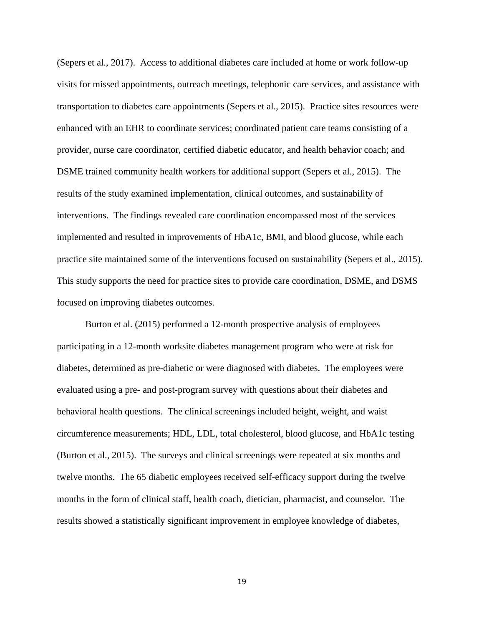(Sepers et al., 2017). Access to additional diabetes care included at home or work follow-up visits for missed appointments, outreach meetings, telephonic care services, and assistance with transportation to diabetes care appointments (Sepers et al., 2015). Practice sites resources were enhanced with an EHR to coordinate services; coordinated patient care teams consisting of a provider, nurse care coordinator, certified diabetic educator, and health behavior coach; and DSME trained community health workers for additional support (Sepers et al., 2015). The results of the study examined implementation, clinical outcomes, and sustainability of interventions. The findings revealed care coordination encompassed most of the services implemented and resulted in improvements of HbA1c, BMI, and blood glucose, while each practice site maintained some of the interventions focused on sustainability (Sepers et al., 2015). This study supports the need for practice sites to provide care coordination, DSME, and DSMS focused on improving diabetes outcomes.

Burton et al. (2015) performed a 12-month prospective analysis of employees participating in a 12-month worksite diabetes management program who were at risk for diabetes, determined as pre-diabetic or were diagnosed with diabetes. The employees were evaluated using a pre- and post-program survey with questions about their diabetes and behavioral health questions. The clinical screenings included height, weight, and waist circumference measurements; HDL, LDL, total cholesterol, blood glucose, and HbA1c testing (Burton et al., 2015). The surveys and clinical screenings were repeated at six months and twelve months. The 65 diabetic employees received self-efficacy support during the twelve months in the form of clinical staff, health coach, dietician, pharmacist, and counselor. The results showed a statistically significant improvement in employee knowledge of diabetes,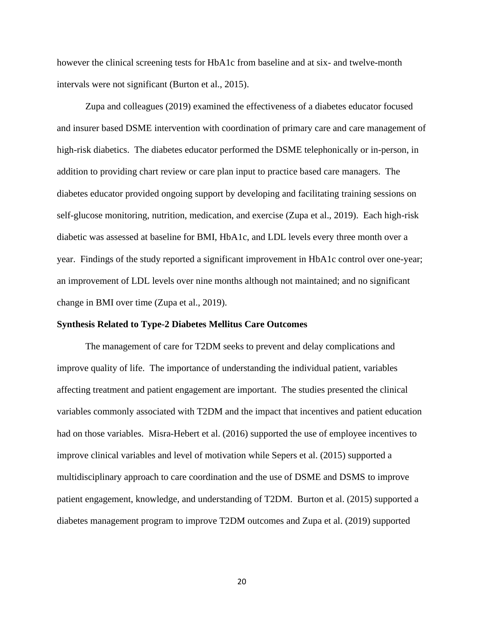however the clinical screening tests for HbA1c from baseline and at six- and twelve-month intervals were not significant (Burton et al., 2015).

Zupa and colleagues (2019) examined the effectiveness of a diabetes educator focused and insurer based DSME intervention with coordination of primary care and care management of high-risk diabetics. The diabetes educator performed the DSME telephonically or in-person, in addition to providing chart review or care plan input to practice based care managers. The diabetes educator provided ongoing support by developing and facilitating training sessions on self-glucose monitoring, nutrition, medication, and exercise (Zupa et al., 2019). Each high-risk diabetic was assessed at baseline for BMI, HbA1c, and LDL levels every three month over a year. Findings of the study reported a significant improvement in HbA1c control over one-year; an improvement of LDL levels over nine months although not maintained; and no significant change in BMI over time (Zupa et al., 2019).

#### **Synthesis Related to Type-2 Diabetes Mellitus Care Outcomes**

The management of care for T2DM seeks to prevent and delay complications and improve quality of life. The importance of understanding the individual patient, variables affecting treatment and patient engagement are important. The studies presented the clinical variables commonly associated with T2DM and the impact that incentives and patient education had on those variables. Misra-Hebert et al. (2016) supported the use of employee incentives to improve clinical variables and level of motivation while Sepers et al. (2015) supported a multidisciplinary approach to care coordination and the use of DSME and DSMS to improve patient engagement, knowledge, and understanding of T2DM. Burton et al. (2015) supported a diabetes management program to improve T2DM outcomes and Zupa et al. (2019) supported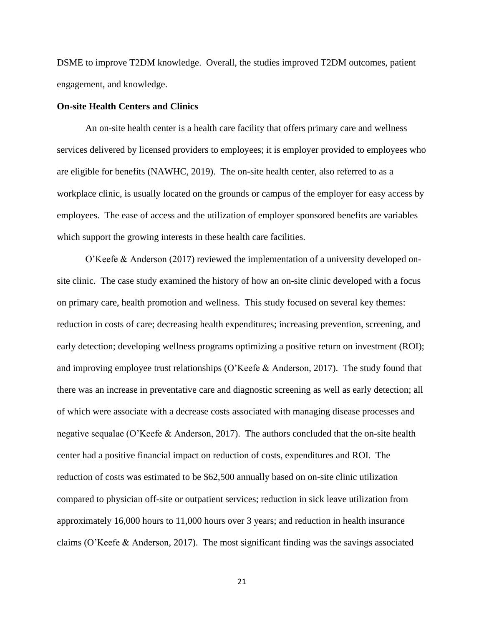DSME to improve T2DM knowledge. Overall, the studies improved T2DM outcomes, patient engagement, and knowledge.

## **On-site Health Centers and Clinics**

An on-site health center is a health care facility that offers primary care and wellness services delivered by licensed providers to employees; it is employer provided to employees who are eligible for benefits (NAWHC, 2019). The on-site health center, also referred to as a workplace clinic, is usually located on the grounds or campus of the employer for easy access by employees. The ease of access and the utilization of employer sponsored benefits are variables which support the growing interests in these health care facilities.

O'Keefe & Anderson (2017) reviewed the implementation of a university developed onsite clinic. The case study examined the history of how an on-site clinic developed with a focus on primary care, health promotion and wellness. This study focused on several key themes: reduction in costs of care; decreasing health expenditures; increasing prevention, screening, and early detection; developing wellness programs optimizing a positive return on investment (ROI); and improving employee trust relationships (O'Keefe & Anderson, 2017). The study found that there was an increase in preventative care and diagnostic screening as well as early detection; all of which were associate with a decrease costs associated with managing disease processes and negative sequalae (O'Keefe & Anderson, 2017). The authors concluded that the on-site health center had a positive financial impact on reduction of costs, expenditures and ROI. The reduction of costs was estimated to be \$62,500 annually based on on-site clinic utilization compared to physician off-site or outpatient services; reduction in sick leave utilization from approximately 16,000 hours to 11,000 hours over 3 years; and reduction in health insurance claims (O'Keefe & Anderson, 2017). The most significant finding was the savings associated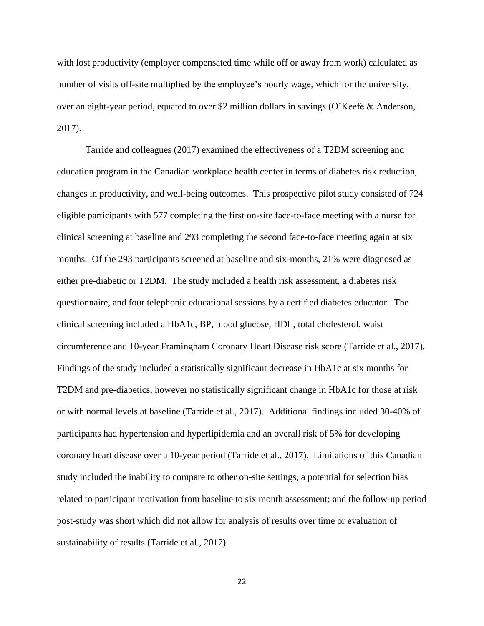with lost productivity (employer compensated time while off or away from work) calculated as number of visits off-site multiplied by the employee's hourly wage, which for the university, over an eight-year period, equated to over \$2 million dollars in savings (O'Keefe & Anderson, 2017).

Tarride and colleagues (2017) examined the effectiveness of a T2DM screening and education program in the Canadian workplace health center in terms of diabetes risk reduction, changes in productivity, and well-being outcomes. This prospective pilot study consisted of 724 eligible participants with 577 completing the first on-site face-to-face meeting with a nurse for clinical screening at baseline and 293 completing the second face-to-face meeting again at six months. Of the 293 participants screened at baseline and six-months, 21% were diagnosed as either pre-diabetic or T2DM. The study included a health risk assessment, a diabetes risk questionnaire, and four telephonic educational sessions by a certified diabetes educator. The clinical screening included a HbA1c, BP, blood glucose, HDL, total cholesterol, waist circumference and 10-year Framingham Coronary Heart Disease risk score (Tarride et al., 2017). Findings of the study included a statistically significant decrease in HbA1c at six months for T2DM and pre-diabetics, however no statistically significant change in HbA1c for those at risk or with normal levels at baseline (Tarride et al., 2017). Additional findings included 30-40% of participants had hypertension and hyperlipidemia and an overall risk of 5% for developing coronary heart disease over a 10-year period (Tarride et al., 2017). Limitations of this Canadian study included the inability to compare to other on-site settings, a potential for selection bias related to participant motivation from baseline to six month assessment; and the follow-up period post-study was short which did not allow for analysis of results over time or evaluation of sustainability of results (Tarride et al., 2017).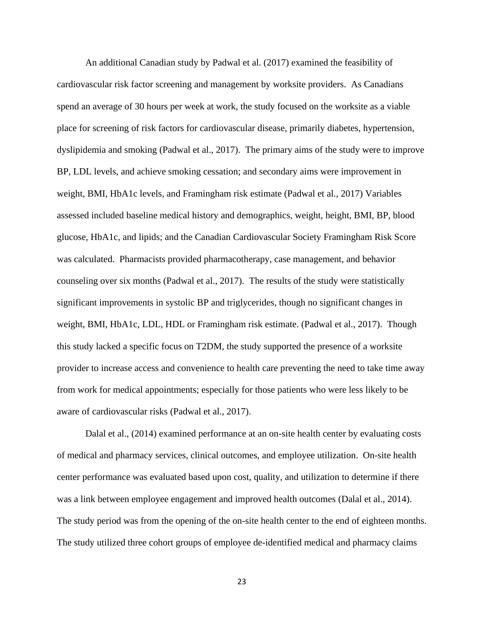An additional Canadian study by Padwal et al. (2017) examined the feasibility of cardiovascular risk factor screening and management by worksite providers. As Canadians spend an average of 30 hours per week at work, the study focused on the worksite as a viable place for screening of risk factors for cardiovascular disease, primarily diabetes, hypertension, dyslipidemia and smoking (Padwal et al., 2017). The primary aims of the study were to improve BP, LDL levels, and achieve smoking cessation; and secondary aims were improvement in weight, BMI, HbA1c levels, and Framingham risk estimate (Padwal et al., 2017) Variables assessed included baseline medical history and demographics, weight, height, BMI, BP, blood glucose, HbA1c, and lipids; and the Canadian Cardiovascular Society Framingham Risk Score was calculated. Pharmacists provided pharmacotherapy, case management, and behavior counseling over six months (Padwal et al., 2017). The results of the study were statistically significant improvements in systolic BP and triglycerides, though no significant changes in weight, BMI, HbA1c, LDL, HDL or Framingham risk estimate. (Padwal et al., 2017). Though this study lacked a specific focus on T2DM, the study supported the presence of a worksite provider to increase access and convenience to health care preventing the need to take time away from work for medical appointments; especially for those patients who were less likely to be aware of cardiovascular risks (Padwal et al., 2017).

Dalal et al., (2014) examined performance at an on-site health center by evaluating costs of medical and pharmacy services, clinical outcomes, and employee utilization. On-site health center performance was evaluated based upon cost, quality, and utilization to determine if there was a link between employee engagement and improved health outcomes (Dalal et al., 2014). The study period was from the opening of the on-site health center to the end of eighteen months. The study utilized three cohort groups of employee de-identified medical and pharmacy claims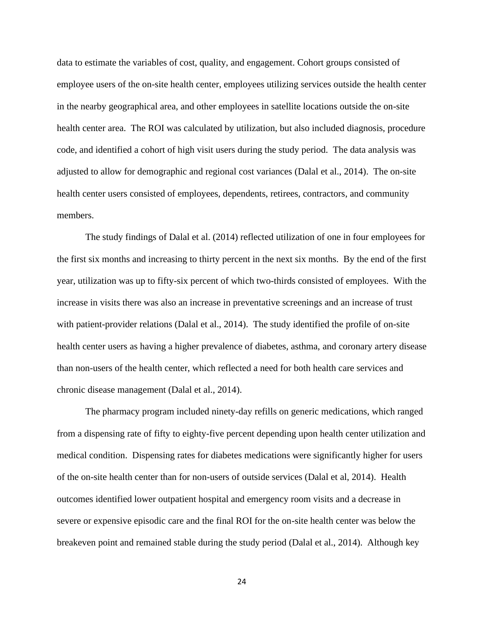data to estimate the variables of cost, quality, and engagement. Cohort groups consisted of employee users of the on-site health center, employees utilizing services outside the health center in the nearby geographical area, and other employees in satellite locations outside the on-site health center area. The ROI was calculated by utilization, but also included diagnosis, procedure code, and identified a cohort of high visit users during the study period. The data analysis was adjusted to allow for demographic and regional cost variances (Dalal et al., 2014). The on-site health center users consisted of employees, dependents, retirees, contractors, and community members.

The study findings of Dalal et al. (2014) reflected utilization of one in four employees for the first six months and increasing to thirty percent in the next six months. By the end of the first year, utilization was up to fifty-six percent of which two-thirds consisted of employees. With the increase in visits there was also an increase in preventative screenings and an increase of trust with patient-provider relations (Dalal et al., 2014). The study identified the profile of on-site health center users as having a higher prevalence of diabetes, asthma, and coronary artery disease than non-users of the health center, which reflected a need for both health care services and chronic disease management (Dalal et al., 2014).

The pharmacy program included ninety-day refills on generic medications, which ranged from a dispensing rate of fifty to eighty-five percent depending upon health center utilization and medical condition. Dispensing rates for diabetes medications were significantly higher for users of the on-site health center than for non-users of outside services (Dalal et al, 2014). Health outcomes identified lower outpatient hospital and emergency room visits and a decrease in severe or expensive episodic care and the final ROI for the on-site health center was below the breakeven point and remained stable during the study period (Dalal et al., 2014). Although key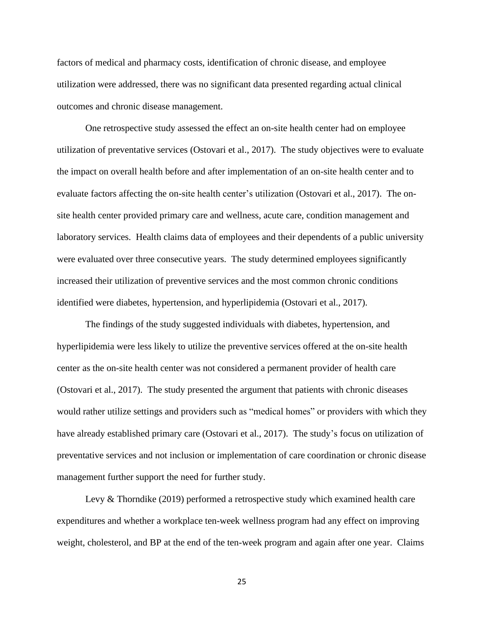factors of medical and pharmacy costs, identification of chronic disease, and employee utilization were addressed, there was no significant data presented regarding actual clinical outcomes and chronic disease management.

One retrospective study assessed the effect an on-site health center had on employee utilization of preventative services (Ostovari et al., 2017). The study objectives were to evaluate the impact on overall health before and after implementation of an on-site health center and to evaluate factors affecting the on-site health center's utilization (Ostovari et al., 2017). The onsite health center provided primary care and wellness, acute care, condition management and laboratory services. Health claims data of employees and their dependents of a public university were evaluated over three consecutive years. The study determined employees significantly increased their utilization of preventive services and the most common chronic conditions identified were diabetes, hypertension, and hyperlipidemia (Ostovari et al., 2017).

The findings of the study suggested individuals with diabetes, hypertension, and hyperlipidemia were less likely to utilize the preventive services offered at the on-site health center as the on-site health center was not considered a permanent provider of health care (Ostovari et al., 2017). The study presented the argument that patients with chronic diseases would rather utilize settings and providers such as "medical homes" or providers with which they have already established primary care (Ostovari et al., 2017). The study's focus on utilization of preventative services and not inclusion or implementation of care coordination or chronic disease management further support the need for further study.

Levy & Thorndike (2019) performed a retrospective study which examined health care expenditures and whether a workplace ten-week wellness program had any effect on improving weight, cholesterol, and BP at the end of the ten-week program and again after one year. Claims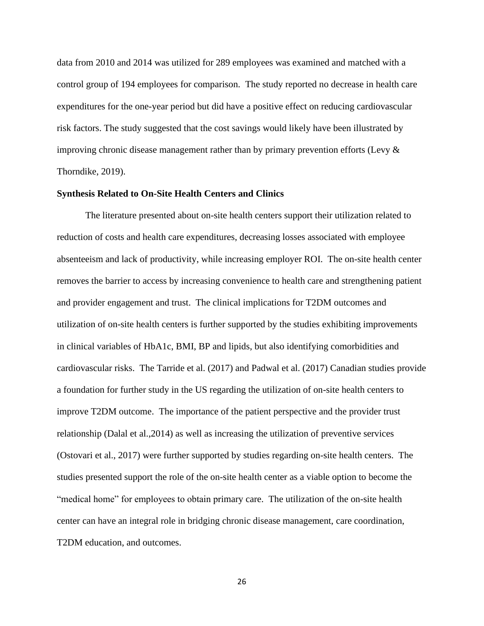data from 2010 and 2014 was utilized for 289 employees was examined and matched with a control group of 194 employees for comparison. The study reported no decrease in health care expenditures for the one-year period but did have a positive effect on reducing cardiovascular risk factors. The study suggested that the cost savings would likely have been illustrated by improving chronic disease management rather than by primary prevention efforts (Levy  $\&$ Thorndike, 2019).

#### **Synthesis Related to On-Site Health Centers and Clinics**

The literature presented about on-site health centers support their utilization related to reduction of costs and health care expenditures, decreasing losses associated with employee absenteeism and lack of productivity, while increasing employer ROI. The on-site health center removes the barrier to access by increasing convenience to health care and strengthening patient and provider engagement and trust. The clinical implications for T2DM outcomes and utilization of on-site health centers is further supported by the studies exhibiting improvements in clinical variables of HbA1c, BMI, BP and lipids, but also identifying comorbidities and cardiovascular risks. The Tarride et al. (2017) and Padwal et al. (2017) Canadian studies provide a foundation for further study in the US regarding the utilization of on-site health centers to improve T2DM outcome. The importance of the patient perspective and the provider trust relationship (Dalal et al.,2014) as well as increasing the utilization of preventive services (Ostovari et al., 2017) were further supported by studies regarding on-site health centers. The studies presented support the role of the on-site health center as a viable option to become the "medical home" for employees to obtain primary care. The utilization of the on-site health center can have an integral role in bridging chronic disease management, care coordination, T2DM education, and outcomes.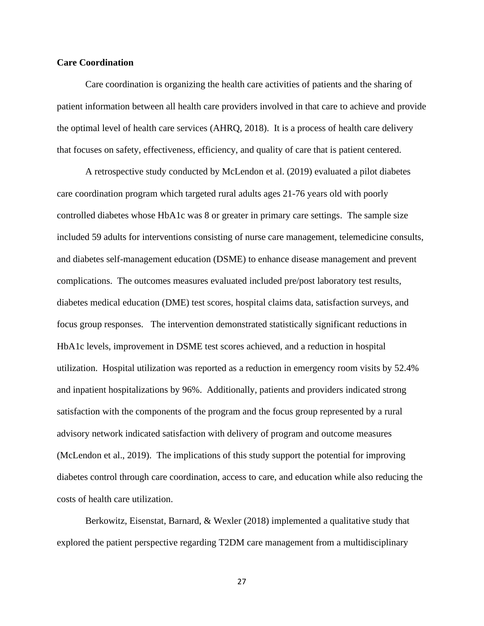## **Care Coordination**

Care coordination is organizing the health care activities of patients and the sharing of patient information between all health care providers involved in that care to achieve and provide the optimal level of health care services (AHRQ, 2018). It is a process of health care delivery that focuses on safety, effectiveness, efficiency, and quality of care that is patient centered.

A retrospective study conducted by McLendon et al. (2019) evaluated a pilot diabetes care coordination program which targeted rural adults ages 21-76 years old with poorly controlled diabetes whose HbA1c was 8 or greater in primary care settings. The sample size included 59 adults for interventions consisting of nurse care management, telemedicine consults, and diabetes self-management education (DSME) to enhance disease management and prevent complications. The outcomes measures evaluated included pre/post laboratory test results, diabetes medical education (DME) test scores, hospital claims data, satisfaction surveys, and focus group responses. The intervention demonstrated statistically significant reductions in HbA1c levels, improvement in DSME test scores achieved, and a reduction in hospital utilization. Hospital utilization was reported as a reduction in emergency room visits by 52.4% and inpatient hospitalizations by 96%. Additionally, patients and providers indicated strong satisfaction with the components of the program and the focus group represented by a rural advisory network indicated satisfaction with delivery of program and outcome measures (McLendon et al., 2019). The implications of this study support the potential for improving diabetes control through care coordination, access to care, and education while also reducing the costs of health care utilization.

Berkowitz, Eisenstat, Barnard, & Wexler (2018) implemented a qualitative study that explored the patient perspective regarding T2DM care management from a multidisciplinary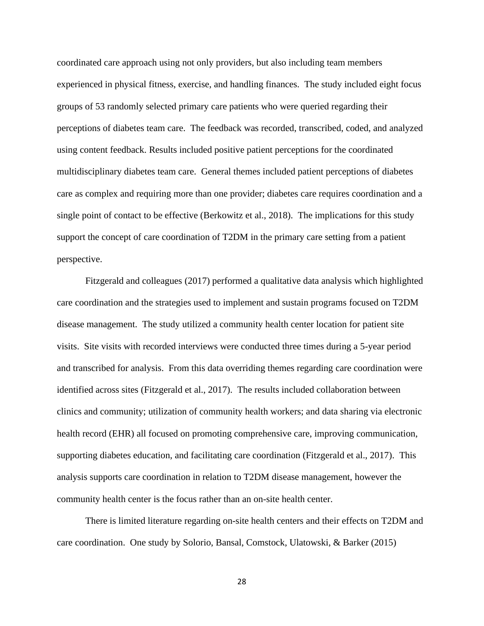coordinated care approach using not only providers, but also including team members experienced in physical fitness, exercise, and handling finances. The study included eight focus groups of 53 randomly selected primary care patients who were queried regarding their perceptions of diabetes team care. The feedback was recorded, transcribed, coded, and analyzed using content feedback. Results included positive patient perceptions for the coordinated multidisciplinary diabetes team care. General themes included patient perceptions of diabetes care as complex and requiring more than one provider; diabetes care requires coordination and a single point of contact to be effective (Berkowitz et al., 2018). The implications for this study support the concept of care coordination of T2DM in the primary care setting from a patient perspective.

Fitzgerald and colleagues (2017) performed a qualitative data analysis which highlighted care coordination and the strategies used to implement and sustain programs focused on T2DM disease management. The study utilized a community health center location for patient site visits. Site visits with recorded interviews were conducted three times during a 5-year period and transcribed for analysis. From this data overriding themes regarding care coordination were identified across sites (Fitzgerald et al., 2017). The results included collaboration between clinics and community; utilization of community health workers; and data sharing via electronic health record (EHR) all focused on promoting comprehensive care, improving communication, supporting diabetes education, and facilitating care coordination (Fitzgerald et al., 2017). This analysis supports care coordination in relation to T2DM disease management, however the community health center is the focus rather than an on-site health center.

There is limited literature regarding on-site health centers and their effects on T2DM and care coordination. One study by Solorio, Bansal, Comstock, Ulatowski, & Barker (2015)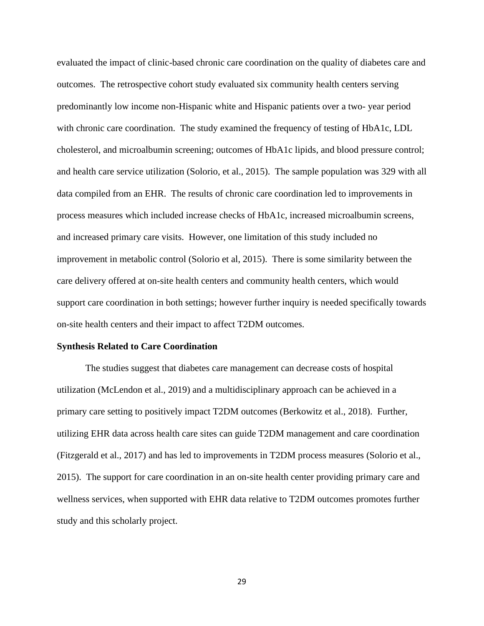evaluated the impact of clinic-based chronic care coordination on the quality of diabetes care and outcomes. The retrospective cohort study evaluated six community health centers serving predominantly low income non-Hispanic white and Hispanic patients over a two- year period with chronic care coordination. The study examined the frequency of testing of HbA1c, LDL cholesterol, and microalbumin screening; outcomes of HbA1c lipids, and blood pressure control; and health care service utilization (Solorio, et al., 2015). The sample population was 329 with all data compiled from an EHR. The results of chronic care coordination led to improvements in process measures which included increase checks of HbA1c, increased microalbumin screens, and increased primary care visits. However, one limitation of this study included no improvement in metabolic control (Solorio et al, 2015). There is some similarity between the care delivery offered at on-site health centers and community health centers, which would support care coordination in both settings; however further inquiry is needed specifically towards on-site health centers and their impact to affect T2DM outcomes.

#### **Synthesis Related to Care Coordination**

The studies suggest that diabetes care management can decrease costs of hospital utilization (McLendon et al., 2019) and a multidisciplinary approach can be achieved in a primary care setting to positively impact T2DM outcomes (Berkowitz et al., 2018). Further, utilizing EHR data across health care sites can guide T2DM management and care coordination (Fitzgerald et al., 2017) and has led to improvements in T2DM process measures (Solorio et al., 2015). The support for care coordination in an on-site health center providing primary care and wellness services, when supported with EHR data relative to T2DM outcomes promotes further study and this scholarly project.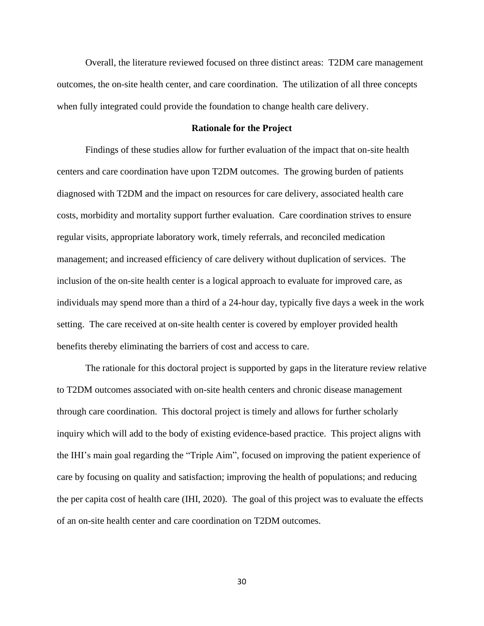Overall, the literature reviewed focused on three distinct areas: T2DM care management outcomes, the on-site health center, and care coordination. The utilization of all three concepts when fully integrated could provide the foundation to change health care delivery.

## **Rationale for the Project**

Findings of these studies allow for further evaluation of the impact that on-site health centers and care coordination have upon T2DM outcomes. The growing burden of patients diagnosed with T2DM and the impact on resources for care delivery, associated health care costs, morbidity and mortality support further evaluation. Care coordination strives to ensure regular visits, appropriate laboratory work, timely referrals, and reconciled medication management; and increased efficiency of care delivery without duplication of services. The inclusion of the on-site health center is a logical approach to evaluate for improved care, as individuals may spend more than a third of a 24-hour day, typically five days a week in the work setting. The care received at on-site health center is covered by employer provided health benefits thereby eliminating the barriers of cost and access to care.

The rationale for this doctoral project is supported by gaps in the literature review relative to T2DM outcomes associated with on-site health centers and chronic disease management through care coordination. This doctoral project is timely and allows for further scholarly inquiry which will add to the body of existing evidence-based practice. This project aligns with the IHI's main goal regarding the "Triple Aim", focused on improving the patient experience of care by focusing on quality and satisfaction; improving the health of populations; and reducing the per capita cost of health care (IHI, 2020). The goal of this project was to evaluate the effects of an on-site health center and care coordination on T2DM outcomes.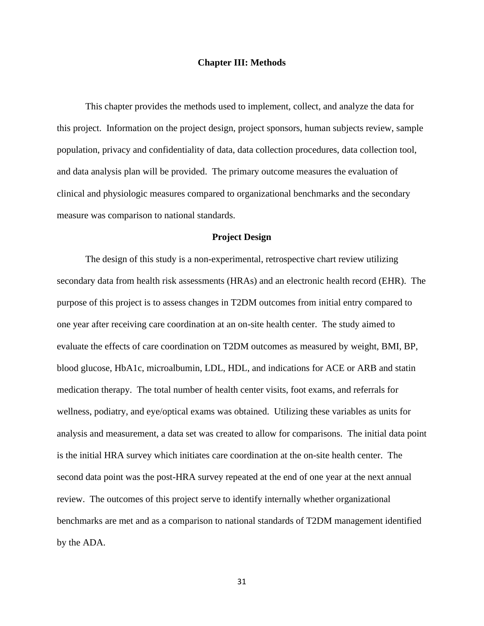### **Chapter III: Methods**

This chapter provides the methods used to implement, collect, and analyze the data for this project. Information on the project design, project sponsors, human subjects review, sample population, privacy and confidentiality of data, data collection procedures, data collection tool, and data analysis plan will be provided. The primary outcome measures the evaluation of clinical and physiologic measures compared to organizational benchmarks and the secondary measure was comparison to national standards.

### **Project Design**

The design of this study is a non-experimental, retrospective chart review utilizing secondary data from health risk assessments (HRAs) and an electronic health record (EHR). The purpose of this project is to assess changes in T2DM outcomes from initial entry compared to one year after receiving care coordination at an on-site health center. The study aimed to evaluate the effects of care coordination on T2DM outcomes as measured by weight, BMI, BP, blood glucose, HbA1c, microalbumin, LDL, HDL, and indications for ACE or ARB and statin medication therapy. The total number of health center visits, foot exams, and referrals for wellness, podiatry, and eye/optical exams was obtained. Utilizing these variables as units for analysis and measurement, a data set was created to allow for comparisons. The initial data point is the initial HRA survey which initiates care coordination at the on-site health center. The second data point was the post-HRA survey repeated at the end of one year at the next annual review. The outcomes of this project serve to identify internally whether organizational benchmarks are met and as a comparison to national standards of T2DM management identified by the ADA.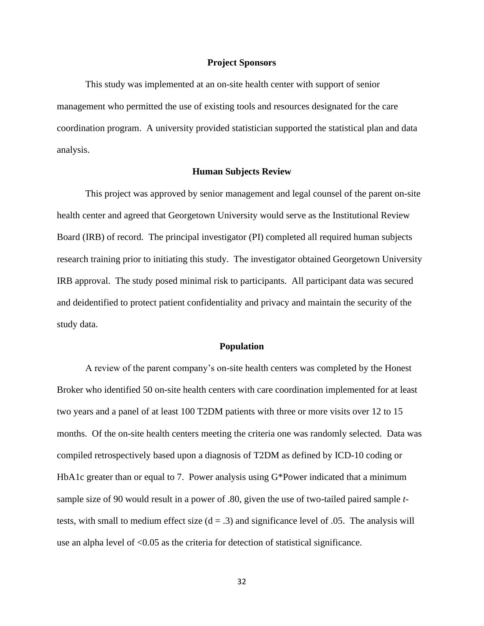#### **Project Sponsors**

This study was implemented at an on-site health center with support of senior management who permitted the use of existing tools and resources designated for the care coordination program. A university provided statistician supported the statistical plan and data analysis.

## **Human Subjects Review**

This project was approved by senior management and legal counsel of the parent on-site health center and agreed that Georgetown University would serve as the Institutional Review Board (IRB) of record. The principal investigator (PI) completed all required human subjects research training prior to initiating this study. The investigator obtained Georgetown University IRB approval. The study posed minimal risk to participants. All participant data was secured and deidentified to protect patient confidentiality and privacy and maintain the security of the study data.

#### **Population**

A review of the parent company's on-site health centers was completed by the Honest Broker who identified 50 on-site health centers with care coordination implemented for at least two years and a panel of at least 100 T2DM patients with three or more visits over 12 to 15 months. Of the on-site health centers meeting the criteria one was randomly selected. Data was compiled retrospectively based upon a diagnosis of T2DM as defined by ICD-10 coding or HbA1c greater than or equal to 7. Power analysis using G\*Power indicated that a minimum sample size of 90 would result in a power of .80, given the use of two-tailed paired sample *t*tests, with small to medium effect size  $(d = .3)$  and significance level of .05. The analysis will use an alpha level of <0.05 as the criteria for detection of statistical significance.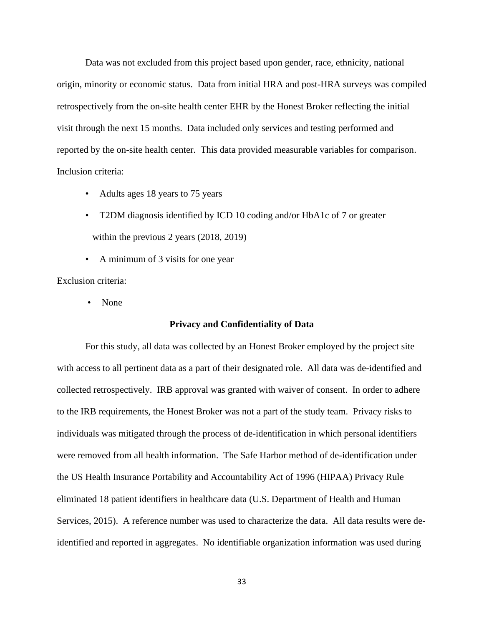Data was not excluded from this project based upon gender, race, ethnicity, national origin, minority or economic status. Data from initial HRA and post-HRA surveys was compiled retrospectively from the on-site health center EHR by the Honest Broker reflecting the initial visit through the next 15 months. Data included only services and testing performed and reported by the on-site health center. This data provided measurable variables for comparison. Inclusion criteria:

- Adults ages 18 years to 75 years
- T2DM diagnosis identified by ICD 10 coding and/or HbA1c of 7 or greater within the previous 2 years (2018, 2019)
- A minimum of 3 visits for one year

Exclusion criteria:

• None

## **Privacy and Confidentiality of Data**

For this study, all data was collected by an Honest Broker employed by the project site with access to all pertinent data as a part of their designated role. All data was de-identified and collected retrospectively. IRB approval was granted with waiver of consent. In order to adhere to the IRB requirements, the Honest Broker was not a part of the study team. Privacy risks to individuals was mitigated through the process of de-identification in which personal identifiers were removed from all health information. The Safe Harbor method of de-identification under the US Health Insurance Portability and Accountability Act of 1996 (HIPAA) Privacy Rule eliminated 18 patient identifiers in healthcare data (U.S. Department of Health and Human Services, 2015). A reference number was used to characterize the data. All data results were deidentified and reported in aggregates. No identifiable organization information was used during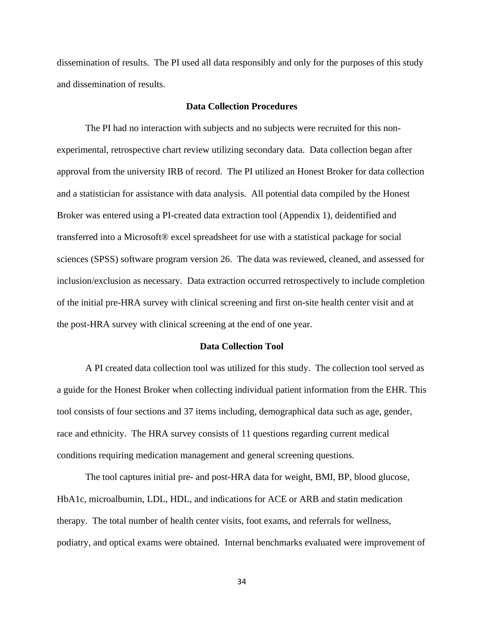dissemination of results. The PI used all data responsibly and only for the purposes of this study and dissemination of results.

## **Data Collection Procedures**

The PI had no interaction with subjects and no subjects were recruited for this nonexperimental, retrospective chart review utilizing secondary data. Data collection began after approval from the university IRB of record. The PI utilized an Honest Broker for data collection and a statistician for assistance with data analysis. All potential data compiled by the Honest Broker was entered using a PI-created data extraction tool (Appendix 1), deidentified and transferred into a Microsoft® excel spreadsheet for use with a statistical package for social sciences (SPSS) software program version 26. The data was reviewed, cleaned, and assessed for inclusion/exclusion as necessary. Data extraction occurred retrospectively to include completion of the initial pre-HRA survey with clinical screening and first on-site health center visit and at the post-HRA survey with clinical screening at the end of one year.

#### **Data Collection Tool**

A PI created data collection tool was utilized for this study. The collection tool served as a guide for the Honest Broker when collecting individual patient information from the EHR. This tool consists of four sections and 37 items including, demographical data such as age, gender, race and ethnicity. The HRA survey consists of 11 questions regarding current medical conditions requiring medication management and general screening questions.

The tool captures initial pre- and post-HRA data for weight, BMI, BP, blood glucose, HbA1c, microalbumin, LDL, HDL, and indications for ACE or ARB and statin medication therapy. The total number of health center visits, foot exams, and referrals for wellness, podiatry, and optical exams were obtained. Internal benchmarks evaluated were improvement of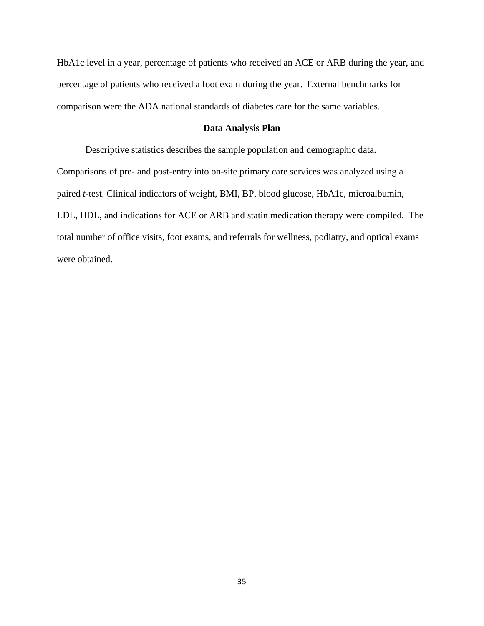HbA1c level in a year, percentage of patients who received an ACE or ARB during the year, and percentage of patients who received a foot exam during the year. External benchmarks for comparison were the ADA national standards of diabetes care for the same variables.

## **Data Analysis Plan**

Descriptive statistics describes the sample population and demographic data. Comparisons of pre- and post-entry into on-site primary care services was analyzed using a paired *t*-test. Clinical indicators of weight, BMI, BP, blood glucose, HbA1c, microalbumin, LDL, HDL, and indications for ACE or ARB and statin medication therapy were compiled. The total number of office visits, foot exams, and referrals for wellness, podiatry, and optical exams were obtained.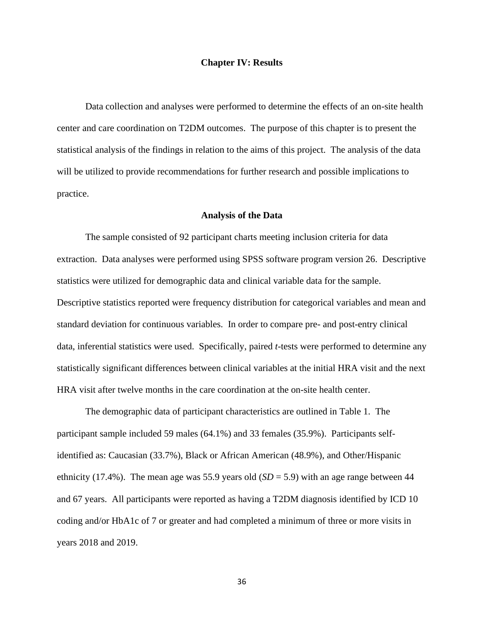### **Chapter IV: Results**

Data collection and analyses were performed to determine the effects of an on-site health center and care coordination on T2DM outcomes. The purpose of this chapter is to present the statistical analysis of the findings in relation to the aims of this project. The analysis of the data will be utilized to provide recommendations for further research and possible implications to practice.

## **Analysis of the Data**

The sample consisted of 92 participant charts meeting inclusion criteria for data extraction. Data analyses were performed using SPSS software program version 26. Descriptive statistics were utilized for demographic data and clinical variable data for the sample. Descriptive statistics reported were frequency distribution for categorical variables and mean and standard deviation for continuous variables. In order to compare pre- and post-entry clinical data, inferential statistics were used. Specifically, paired *t*-tests were performed to determine any statistically significant differences between clinical variables at the initial HRA visit and the next HRA visit after twelve months in the care coordination at the on-site health center.

The demographic data of participant characteristics are outlined in Table 1. The participant sample included 59 males (64.1%) and 33 females (35.9%). Participants selfidentified as: Caucasian (33.7%), Black or African American (48.9%), and Other/Hispanic ethnicity (17.4%). The mean age was 55.9 years old  $(SD = 5.9)$  with an age range between 44 and 67 years. All participants were reported as having a T2DM diagnosis identified by ICD 10 coding and/or HbA1c of 7 or greater and had completed a minimum of three or more visits in years 2018 and 2019.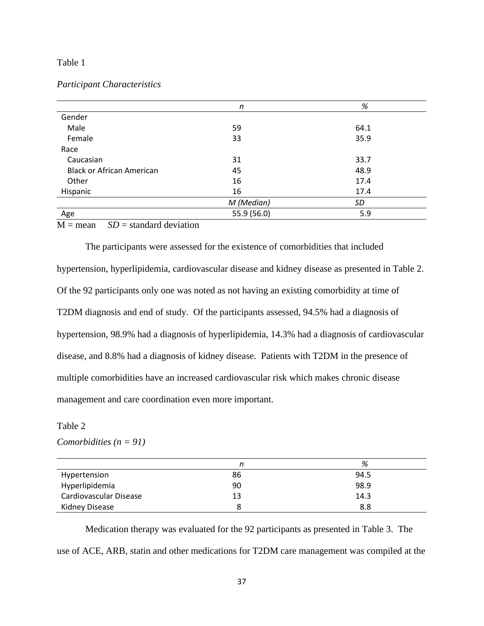## Table 1

## *Participant Characteristics*

|                                  | n           | %    |
|----------------------------------|-------------|------|
| Gender                           |             |      |
| Male                             | 59          | 64.1 |
| Female                           | 33          | 35.9 |
| Race                             |             |      |
| Caucasian                        | 31          | 33.7 |
| <b>Black or African American</b> | 45          | 48.9 |
| Other                            | 16          | 17.4 |
| Hispanic                         | 16          | 17.4 |
|                                  | M (Median)  | SD   |
| Age                              | 55.9 (56.0) | 5.9  |

 $M =$  mean *SD* = standard deviation

The participants were assessed for the existence of comorbidities that included hypertension, hyperlipidemia, cardiovascular disease and kidney disease as presented in Table 2. Of the 92 participants only one was noted as not having an existing comorbidity at time of T2DM diagnosis and end of study. Of the participants assessed, 94.5% had a diagnosis of hypertension, 98.9% had a diagnosis of hyperlipidemia, 14.3% had a diagnosis of cardiovascular disease, and 8.8% had a diagnosis of kidney disease. Patients with T2DM in the presence of multiple comorbidities have an increased cardiovascular risk which makes chronic disease management and care coordination even more important.

## Table 2

*Comorbidities (n = 91)*

|                        |    | %    |
|------------------------|----|------|
| Hypertension           | 86 | 94.5 |
| Hyperlipidemia         | 90 | 98.9 |
| Cardiovascular Disease | 13 | 14.3 |
| Kidney Disease         |    | 8.8  |

Medication therapy was evaluated for the 92 participants as presented in Table 3. The use of ACE, ARB, statin and other medications for T2DM care management was compiled at the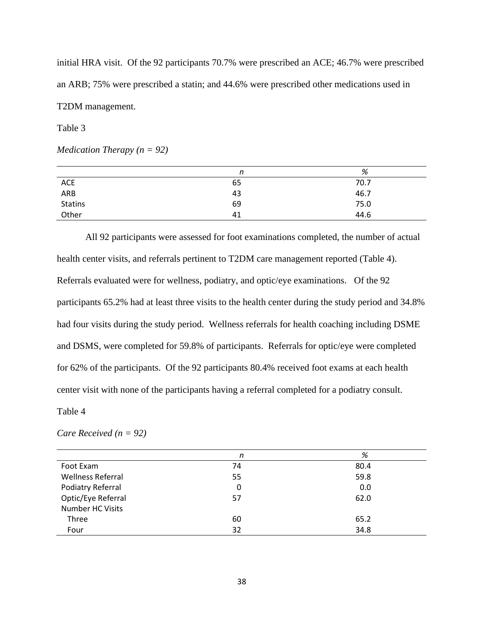initial HRA visit. Of the 92 participants 70.7% were prescribed an ACE; 46.7% were prescribed an ARB; 75% were prescribed a statin; and 44.6% were prescribed other medications used in T2DM management.

Table 3

*Medication Therapy (n = 92)*

|                | n  | %    |
|----------------|----|------|
| <b>ACE</b>     | 65 | 70.7 |
| ARB            | 43 | 46.7 |
| <b>Statins</b> | 69 | 75.0 |
| Other          | 41 | 44.6 |

All 92 participants were assessed for foot examinations completed, the number of actual health center visits, and referrals pertinent to T2DM care management reported (Table 4). Referrals evaluated were for wellness, podiatry, and optic/eye examinations. Of the 92 participants 65.2% had at least three visits to the health center during the study period and 34.8% had four visits during the study period. Wellness referrals for health coaching including DSME and DSMS, were completed for 59.8% of participants. Referrals for optic/eye were completed for 62% of the participants. Of the 92 participants 80.4% received foot exams at each health center visit with none of the participants having a referral completed for a podiatry consult.

Table 4

*Care Received (n = 92)*

|                          | n  | %    |
|--------------------------|----|------|
| Foot Exam                | 74 | 80.4 |
| <b>Wellness Referral</b> | 55 | 59.8 |
| Podiatry Referral        | 0  | 0.0  |
| Optic/Eye Referral       | 57 | 62.0 |
| Number HC Visits         |    |      |
| Three                    | 60 | 65.2 |
| Four                     | 32 | 34.8 |
|                          |    |      |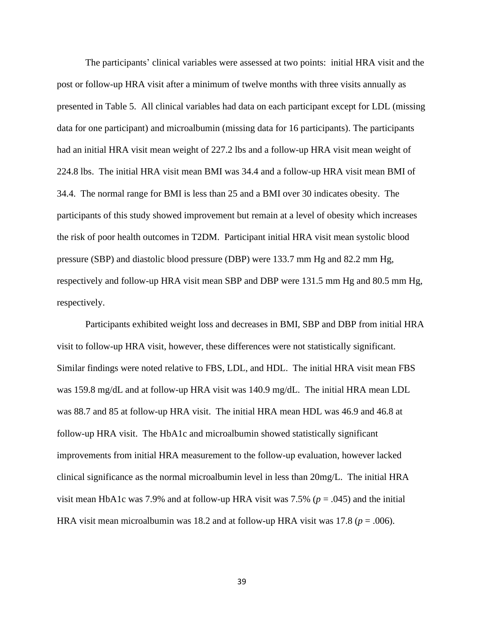The participants' clinical variables were assessed at two points: initial HRA visit and the post or follow-up HRA visit after a minimum of twelve months with three visits annually as presented in Table 5. All clinical variables had data on each participant except for LDL (missing data for one participant) and microalbumin (missing data for 16 participants). The participants had an initial HRA visit mean weight of 227.2 lbs and a follow-up HRA visit mean weight of 224.8 lbs. The initial HRA visit mean BMI was 34.4 and a follow-up HRA visit mean BMI of 34.4. The normal range for BMI is less than 25 and a BMI over 30 indicates obesity. The participants of this study showed improvement but remain at a level of obesity which increases the risk of poor health outcomes in T2DM. Participant initial HRA visit mean systolic blood pressure (SBP) and diastolic blood pressure (DBP) were 133.7 mm Hg and 82.2 mm Hg, respectively and follow-up HRA visit mean SBP and DBP were 131.5 mm Hg and 80.5 mm Hg, respectively.

Participants exhibited weight loss and decreases in BMI, SBP and DBP from initial HRA visit to follow-up HRA visit, however, these differences were not statistically significant. Similar findings were noted relative to FBS, LDL, and HDL. The initial HRA visit mean FBS was 159.8 mg/dL and at follow-up HRA visit was 140.9 mg/dL. The initial HRA mean LDL was 88.7 and 85 at follow-up HRA visit. The initial HRA mean HDL was 46.9 and 46.8 at follow-up HRA visit. The HbA1c and microalbumin showed statistically significant improvements from initial HRA measurement to the follow-up evaluation, however lacked clinical significance as the normal microalbumin level in less than 20mg/L. The initial HRA visit mean HbA1c was 7.9% and at follow-up HRA visit was 7.5% (*p* = .045) and the initial HRA visit mean microalbumin was 18.2 and at follow-up HRA visit was 17.8 ( $p = .006$ ).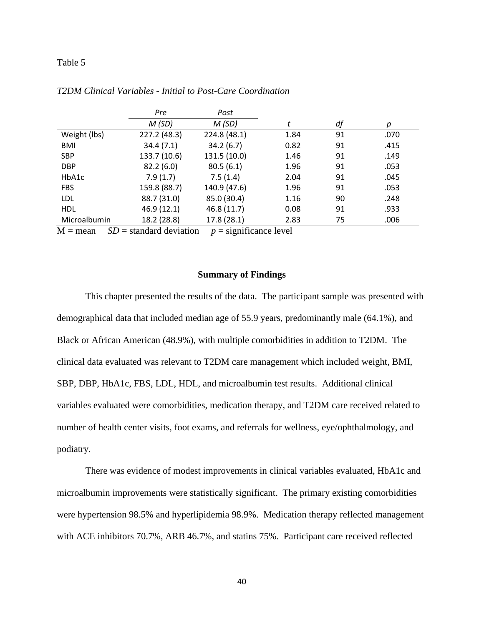## Table 5

|              | Pre          | Post         |      |    |      |
|--------------|--------------|--------------|------|----|------|
|              | M(SD)        | M(SD)        |      | df | р    |
| Weight (lbs) | 227.2 (48.3) | 224.8 (48.1) | 1.84 | 91 | .070 |
| <b>BMI</b>   | 34.4(7.1)    | 34.2(6.7)    | 0.82 | 91 | .415 |
| <b>SBP</b>   | 133.7 (10.6) | 131.5 (10.0) | 1.46 | 91 | .149 |
| <b>DBP</b>   | 82.2(6.0)    | 80.5(6.1)    | 1.96 | 91 | .053 |
| HbA1c        | 7.9(1.7)     | 7.5(1.4)     | 2.04 | 91 | .045 |
| <b>FBS</b>   | 159.8 (88.7) | 140.9 (47.6) | 1.96 | 91 | .053 |
| LDL          | 88.7 (31.0)  | 85.0 (30.4)  | 1.16 | 90 | .248 |
| <b>HDL</b>   | 46.9 (12.1)  | 46.8 (11.7)  | 0.08 | 91 | .933 |
| Microalbumin | 18.2 (28.8)  | 17.8(28.1)   | 2.83 | 75 | .006 |

*T2DM Clinical Variables - Initial to Post-Care Coordination*

 $M =$  mean *SD* = standard deviation *p* = significance level

## **Summary of Findings**

This chapter presented the results of the data. The participant sample was presented with demographical data that included median age of 55.9 years, predominantly male (64.1%), and Black or African American (48.9%), with multiple comorbidities in addition to T2DM. The clinical data evaluated was relevant to T2DM care management which included weight, BMI, SBP, DBP, HbA1c, FBS, LDL, HDL, and microalbumin test results. Additional clinical variables evaluated were comorbidities, medication therapy, and T2DM care received related to number of health center visits, foot exams, and referrals for wellness, eye/ophthalmology, and podiatry.

There was evidence of modest improvements in clinical variables evaluated, HbA1c and microalbumin improvements were statistically significant. The primary existing comorbidities were hypertension 98.5% and hyperlipidemia 98.9%. Medication therapy reflected management with ACE inhibitors 70.7%, ARB 46.7%, and statins 75%. Participant care received reflected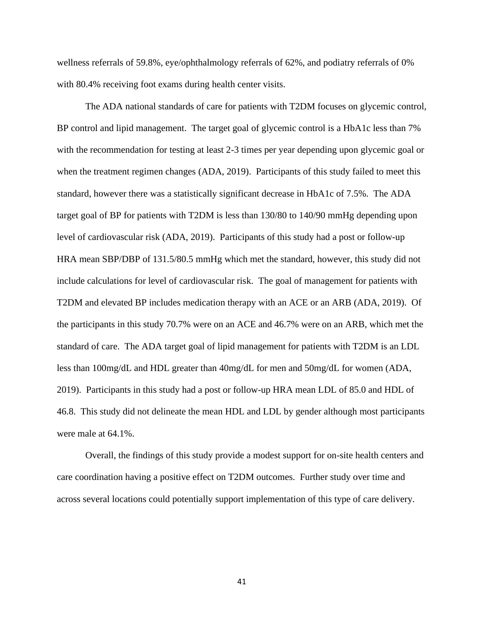wellness referrals of 59.8%, eye/ophthalmology referrals of 62%, and podiatry referrals of 0% with 80.4% receiving foot exams during health center visits.

The ADA national standards of care for patients with T2DM focuses on glycemic control, BP control and lipid management. The target goal of glycemic control is a HbA1c less than 7% with the recommendation for testing at least 2-3 times per year depending upon glycemic goal or when the treatment regimen changes (ADA, 2019). Participants of this study failed to meet this standard, however there was a statistically significant decrease in HbA1c of 7.5%. The ADA target goal of BP for patients with T2DM is less than 130/80 to 140/90 mmHg depending upon level of cardiovascular risk (ADA, 2019). Participants of this study had a post or follow-up HRA mean SBP/DBP of 131.5/80.5 mmHg which met the standard, however, this study did not include calculations for level of cardiovascular risk. The goal of management for patients with T2DM and elevated BP includes medication therapy with an ACE or an ARB (ADA, 2019). Of the participants in this study 70.7% were on an ACE and 46.7% were on an ARB, which met the standard of care. The ADA target goal of lipid management for patients with T2DM is an LDL less than 100mg/dL and HDL greater than 40mg/dL for men and 50mg/dL for women (ADA, 2019). Participants in this study had a post or follow-up HRA mean LDL of 85.0 and HDL of 46.8. This study did not delineate the mean HDL and LDL by gender although most participants were male at 64.1%.

Overall, the findings of this study provide a modest support for on-site health centers and care coordination having a positive effect on T2DM outcomes. Further study over time and across several locations could potentially support implementation of this type of care delivery.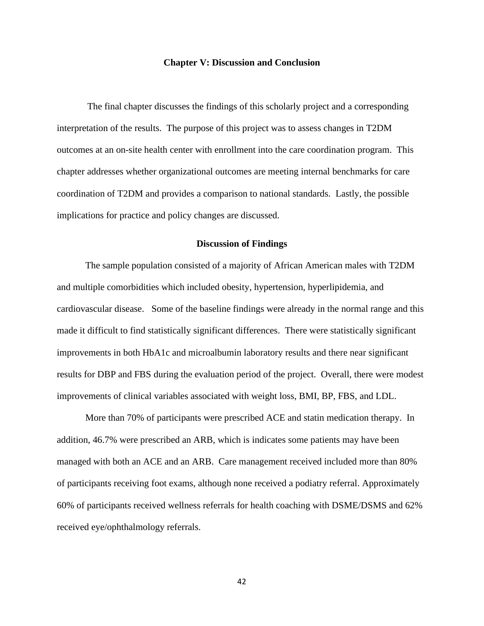## **Chapter V: Discussion and Conclusion**

The final chapter discusses the findings of this scholarly project and a corresponding interpretation of the results. The purpose of this project was to assess changes in T2DM outcomes at an on-site health center with enrollment into the care coordination program. This chapter addresses whether organizational outcomes are meeting internal benchmarks for care coordination of T2DM and provides a comparison to national standards. Lastly, the possible implications for practice and policy changes are discussed.

## **Discussion of Findings**

The sample population consisted of a majority of African American males with T2DM and multiple comorbidities which included obesity, hypertension, hyperlipidemia, and cardiovascular disease. Some of the baseline findings were already in the normal range and this made it difficult to find statistically significant differences. There were statistically significant improvements in both HbA1c and microalbumin laboratory results and there near significant results for DBP and FBS during the evaluation period of the project. Overall, there were modest improvements of clinical variables associated with weight loss, BMI, BP, FBS, and LDL.

More than 70% of participants were prescribed ACE and statin medication therapy. In addition, 46.7% were prescribed an ARB, which is indicates some patients may have been managed with both an ACE and an ARB. Care management received included more than 80% of participants receiving foot exams, although none received a podiatry referral. Approximately 60% of participants received wellness referrals for health coaching with DSME/DSMS and 62% received eye/ophthalmology referrals.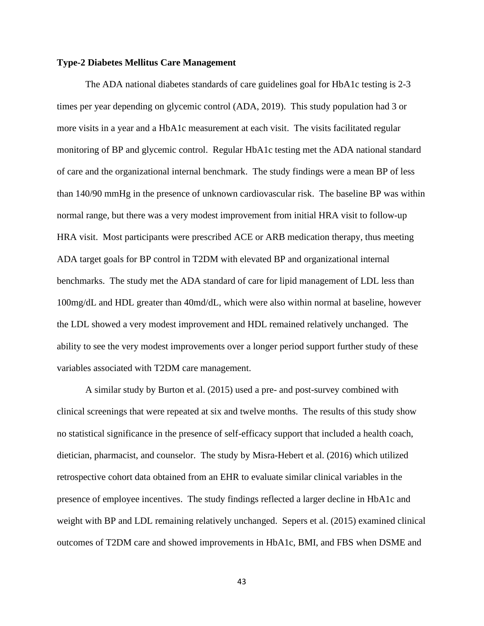#### **Type-2 Diabetes Mellitus Care Management**

The ADA national diabetes standards of care guidelines goal for HbA1c testing is 2-3 times per year depending on glycemic control (ADA, 2019). This study population had 3 or more visits in a year and a HbA1c measurement at each visit. The visits facilitated regular monitoring of BP and glycemic control. Regular HbA1c testing met the ADA national standard of care and the organizational internal benchmark. The study findings were a mean BP of less than 140/90 mmHg in the presence of unknown cardiovascular risk. The baseline BP was within normal range, but there was a very modest improvement from initial HRA visit to follow-up HRA visit. Most participants were prescribed ACE or ARB medication therapy, thus meeting ADA target goals for BP control in T2DM with elevated BP and organizational internal benchmarks. The study met the ADA standard of care for lipid management of LDL less than 100mg/dL and HDL greater than 40md/dL, which were also within normal at baseline, however the LDL showed a very modest improvement and HDL remained relatively unchanged. The ability to see the very modest improvements over a longer period support further study of these variables associated with T2DM care management.

A similar study by Burton et al. (2015) used a pre- and post-survey combined with clinical screenings that were repeated at six and twelve months. The results of this study show no statistical significance in the presence of self-efficacy support that included a health coach, dietician, pharmacist, and counselor. The study by Misra-Hebert et al. (2016) which utilized retrospective cohort data obtained from an EHR to evaluate similar clinical variables in the presence of employee incentives. The study findings reflected a larger decline in HbA1c and weight with BP and LDL remaining relatively unchanged. Sepers et al. (2015) examined clinical outcomes of T2DM care and showed improvements in HbA1c, BMI, and FBS when DSME and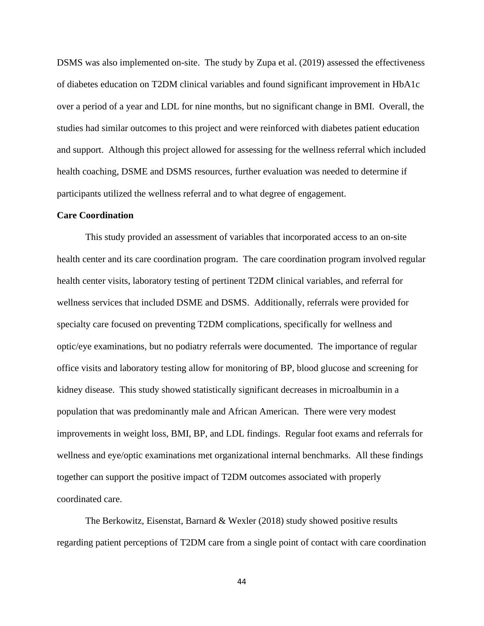DSMS was also implemented on-site. The study by Zupa et al. (2019) assessed the effectiveness of diabetes education on T2DM clinical variables and found significant improvement in HbA1c over a period of a year and LDL for nine months, but no significant change in BMI. Overall, the studies had similar outcomes to this project and were reinforced with diabetes patient education and support. Although this project allowed for assessing for the wellness referral which included health coaching, DSME and DSMS resources, further evaluation was needed to determine if participants utilized the wellness referral and to what degree of engagement.

## **Care Coordination**

This study provided an assessment of variables that incorporated access to an on-site health center and its care coordination program. The care coordination program involved regular health center visits, laboratory testing of pertinent T2DM clinical variables, and referral for wellness services that included DSME and DSMS. Additionally, referrals were provided for specialty care focused on preventing T2DM complications, specifically for wellness and optic/eye examinations, but no podiatry referrals were documented. The importance of regular office visits and laboratory testing allow for monitoring of BP, blood glucose and screening for kidney disease. This study showed statistically significant decreases in microalbumin in a population that was predominantly male and African American. There were very modest improvements in weight loss, BMI, BP, and LDL findings. Regular foot exams and referrals for wellness and eye/optic examinations met organizational internal benchmarks. All these findings together can support the positive impact of T2DM outcomes associated with properly coordinated care.

The Berkowitz, Eisenstat, Barnard & Wexler (2018) study showed positive results regarding patient perceptions of T2DM care from a single point of contact with care coordination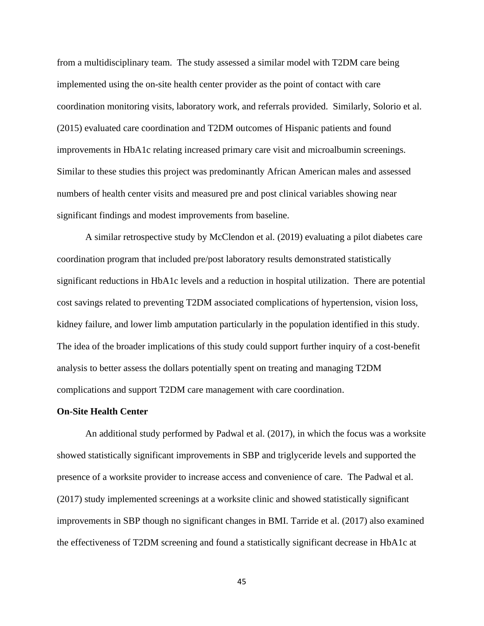from a multidisciplinary team. The study assessed a similar model with T2DM care being implemented using the on-site health center provider as the point of contact with care coordination monitoring visits, laboratory work, and referrals provided. Similarly, Solorio et al. (2015) evaluated care coordination and T2DM outcomes of Hispanic patients and found improvements in HbA1c relating increased primary care visit and microalbumin screenings. Similar to these studies this project was predominantly African American males and assessed numbers of health center visits and measured pre and post clinical variables showing near significant findings and modest improvements from baseline.

A similar retrospective study by McClendon et al. (2019) evaluating a pilot diabetes care coordination program that included pre/post laboratory results demonstrated statistically significant reductions in HbA1c levels and a reduction in hospital utilization. There are potential cost savings related to preventing T2DM associated complications of hypertension, vision loss, kidney failure, and lower limb amputation particularly in the population identified in this study. The idea of the broader implications of this study could support further inquiry of a cost-benefit analysis to better assess the dollars potentially spent on treating and managing T2DM complications and support T2DM care management with care coordination.

## **On-Site Health Center**

An additional study performed by Padwal et al. (2017), in which the focus was a worksite showed statistically significant improvements in SBP and triglyceride levels and supported the presence of a worksite provider to increase access and convenience of care. The Padwal et al. (2017) study implemented screenings at a worksite clinic and showed statistically significant improvements in SBP though no significant changes in BMI. Tarride et al. (2017) also examined the effectiveness of T2DM screening and found a statistically significant decrease in HbA1c at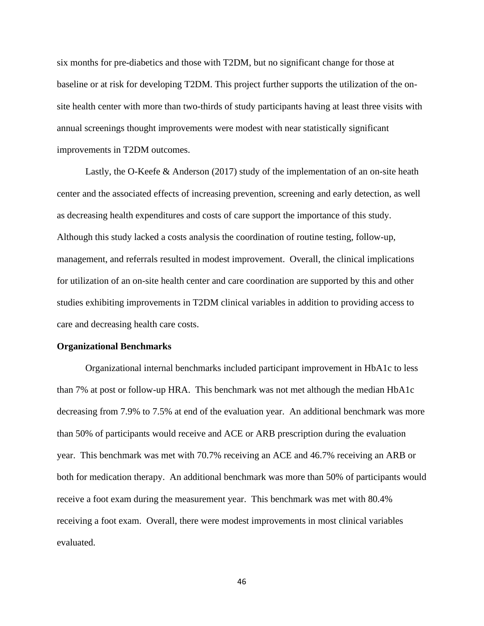six months for pre-diabetics and those with T2DM, but no significant change for those at baseline or at risk for developing T2DM. This project further supports the utilization of the onsite health center with more than two-thirds of study participants having at least three visits with annual screenings thought improvements were modest with near statistically significant improvements in T2DM outcomes.

Lastly, the O-Keefe & Anderson (2017) study of the implementation of an on-site heath center and the associated effects of increasing prevention, screening and early detection, as well as decreasing health expenditures and costs of care support the importance of this study. Although this study lacked a costs analysis the coordination of routine testing, follow-up, management, and referrals resulted in modest improvement. Overall, the clinical implications for utilization of an on-site health center and care coordination are supported by this and other studies exhibiting improvements in T2DM clinical variables in addition to providing access to care and decreasing health care costs.

#### **Organizational Benchmarks**

Organizational internal benchmarks included participant improvement in HbA1c to less than 7% at post or follow-up HRA. This benchmark was not met although the median HbA1c decreasing from 7.9% to 7.5% at end of the evaluation year. An additional benchmark was more than 50% of participants would receive and ACE or ARB prescription during the evaluation year. This benchmark was met with 70.7% receiving an ACE and 46.7% receiving an ARB or both for medication therapy. An additional benchmark was more than 50% of participants would receive a foot exam during the measurement year. This benchmark was met with 80.4% receiving a foot exam. Overall, there were modest improvements in most clinical variables evaluated.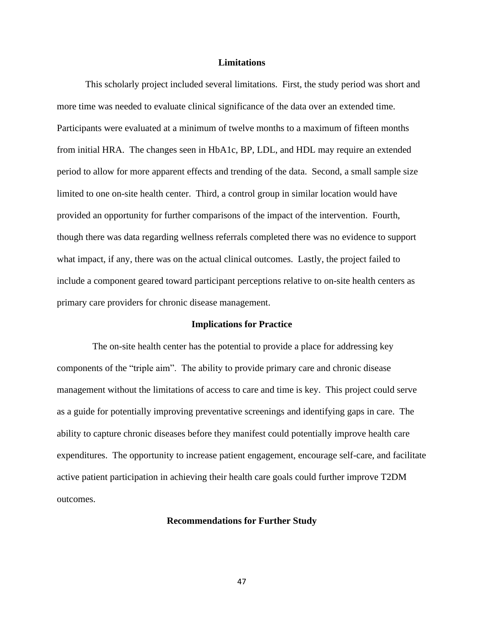## **Limitations**

This scholarly project included several limitations. First, the study period was short and more time was needed to evaluate clinical significance of the data over an extended time. Participants were evaluated at a minimum of twelve months to a maximum of fifteen months from initial HRA. The changes seen in HbA1c, BP, LDL, and HDL may require an extended period to allow for more apparent effects and trending of the data. Second, a small sample size limited to one on-site health center. Third, a control group in similar location would have provided an opportunity for further comparisons of the impact of the intervention. Fourth, though there was data regarding wellness referrals completed there was no evidence to support what impact, if any, there was on the actual clinical outcomes. Lastly, the project failed to include a component geared toward participant perceptions relative to on-site health centers as primary care providers for chronic disease management.

## **Implications for Practice**

 The on-site health center has the potential to provide a place for addressing key components of the "triple aim". The ability to provide primary care and chronic disease management without the limitations of access to care and time is key. This project could serve as a guide for potentially improving preventative screenings and identifying gaps in care. The ability to capture chronic diseases before they manifest could potentially improve health care expenditures. The opportunity to increase patient engagement, encourage self-care, and facilitate active patient participation in achieving their health care goals could further improve T2DM outcomes.

## **Recommendations for Further Study**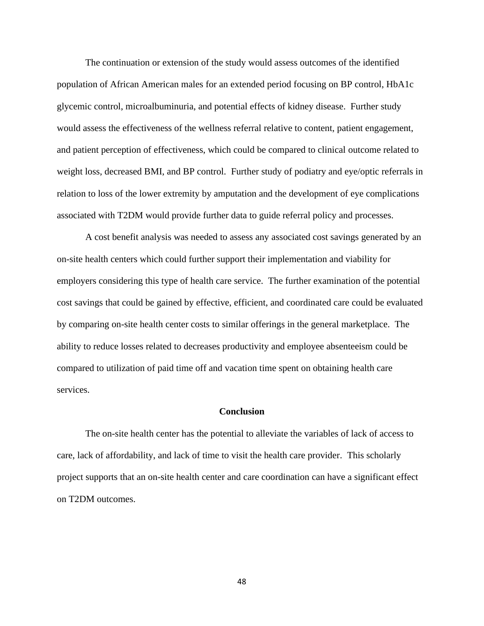The continuation or extension of the study would assess outcomes of the identified population of African American males for an extended period focusing on BP control, HbA1c glycemic control, microalbuminuria, and potential effects of kidney disease. Further study would assess the effectiveness of the wellness referral relative to content, patient engagement, and patient perception of effectiveness, which could be compared to clinical outcome related to weight loss, decreased BMI, and BP control. Further study of podiatry and eye/optic referrals in relation to loss of the lower extremity by amputation and the development of eye complications associated with T2DM would provide further data to guide referral policy and processes.

A cost benefit analysis was needed to assess any associated cost savings generated by an on-site health centers which could further support their implementation and viability for employers considering this type of health care service. The further examination of the potential cost savings that could be gained by effective, efficient, and coordinated care could be evaluated by comparing on-site health center costs to similar offerings in the general marketplace. The ability to reduce losses related to decreases productivity and employee absenteeism could be compared to utilization of paid time off and vacation time spent on obtaining health care services.

## **Conclusion**

The on-site health center has the potential to alleviate the variables of lack of access to care, lack of affordability, and lack of time to visit the health care provider. This scholarly project supports that an on-site health center and care coordination can have a significant effect on T2DM outcomes.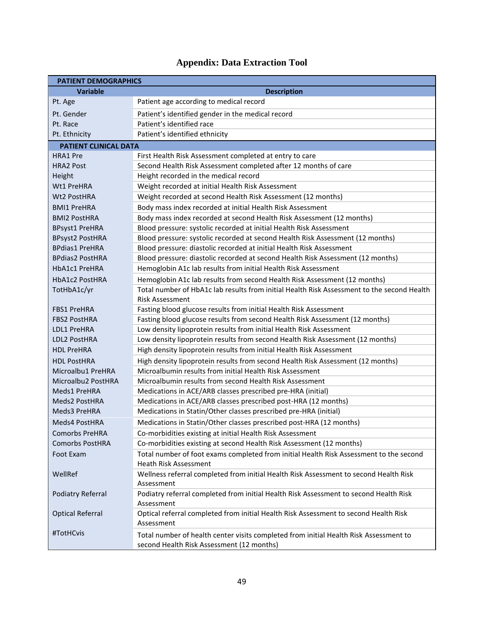| <b>PATIENT DEMOGRAPHICS</b>  |                                                                                                                                    |  |  |
|------------------------------|------------------------------------------------------------------------------------------------------------------------------------|--|--|
| <b>Variable</b>              | <b>Description</b>                                                                                                                 |  |  |
| Pt. Age                      | Patient age according to medical record                                                                                            |  |  |
| Pt. Gender                   | Patient's identified gender in the medical record                                                                                  |  |  |
| Pt. Race                     | Patient's identified race                                                                                                          |  |  |
| Pt. Ethnicity                | Patient's identified ethnicity                                                                                                     |  |  |
| <b>PATIENT CLINICAL DATA</b> |                                                                                                                                    |  |  |
| <b>HRA1</b> Pre              | First Health Risk Assessment completed at entry to care                                                                            |  |  |
| <b>HRA2 Post</b>             | Second Health Risk Assessment completed after 12 months of care                                                                    |  |  |
| Height                       | Height recorded in the medical record                                                                                              |  |  |
| Wt1 PreHRA                   | Weight recorded at initial Health Risk Assessment                                                                                  |  |  |
| Wt2 PostHRA                  | Weight recorded at second Health Risk Assessment (12 months)                                                                       |  |  |
| <b>BMI1 PreHRA</b>           | Body mass index recorded at initial Health Risk Assessment                                                                         |  |  |
| <b>BMI2 PostHRA</b>          | Body mass index recorded at second Health Risk Assessment (12 months)                                                              |  |  |
| <b>BPsyst1 PreHRA</b>        | Blood pressure: systolic recorded at initial Health Risk Assessment                                                                |  |  |
| <b>BPsyst2 PostHRA</b>       | Blood pressure: systolic recorded at second Health Risk Assessment (12 months)                                                     |  |  |
| <b>BPdias1 PreHRA</b>        | Blood pressure: diastolic recorded at initial Health Risk Assessment                                                               |  |  |
| <b>BPdias2 PostHRA</b>       | Blood pressure: diastolic recorded at second Health Risk Assessment (12 months)                                                    |  |  |
| HbA1c1 PreHRA                | Hemoglobin A1c lab results from initial Health Risk Assessment                                                                     |  |  |
| <b>HbA1c2 PostHRA</b>        | Hemoglobin A1c lab results from second Health Risk Assessment (12 months)                                                          |  |  |
| TotHbA1c/yr                  | Total number of HbA1c lab results from initial Health Risk Assessment to the second Health                                         |  |  |
|                              | Risk Assessment                                                                                                                    |  |  |
| <b>FBS1 PreHRA</b>           | Fasting blood glucose results from initial Health Risk Assessment                                                                  |  |  |
| <b>FBS2 PostHRA</b>          | Fasting blood glucose results from second Health Risk Assessment (12 months)                                                       |  |  |
| LDL1 PreHRA                  | Low density lipoprotein results from initial Health Risk Assessment                                                                |  |  |
| LDL2 PostHRA                 | Low density lipoprotein results from second Health Risk Assessment (12 months)                                                     |  |  |
| <b>HDL PreHRA</b>            | High density lipoprotein results from initial Health Risk Assessment                                                               |  |  |
| <b>HDL PostHRA</b>           | High density lipoprotein results from second Health Risk Assessment (12 months)                                                    |  |  |
| Microalbu1 PreHRA            | Microalbumin results from initial Health Risk Assessment                                                                           |  |  |
| Microalbu2 PostHRA           | Microalbumin results from second Health Risk Assessment                                                                            |  |  |
| Meds1 PreHRA                 | Medications in ACE/ARB classes prescribed pre-HRA (initial)                                                                        |  |  |
| Meds2 PostHRA                | Medications in ACE/ARB classes prescribed post-HRA (12 months)                                                                     |  |  |
| Meds3 PreHRA                 | Medications in Statin/Other classes prescribed pre-HRA (initial)                                                                   |  |  |
| Meds4 PostHRA                | Medications in Statin/Other classes prescribed post-HRA (12 months)                                                                |  |  |
| <b>Comorbs PreHRA</b>        | Co-morbidities existing at initial Health Risk Assessment                                                                          |  |  |
| <b>Comorbs PostHRA</b>       | Co-morbidities existing at second Health Risk Assessment (12 months)                                                               |  |  |
| Foot Exam                    | Total number of foot exams completed from initial Health Risk Assessment to the second<br><b>Heath Risk Assessment</b>             |  |  |
| WellRef                      | Wellness referral completed from initial Health Risk Assessment to second Health Risk<br>Assessment                                |  |  |
| <b>Podiatry Referral</b>     | Podiatry referral completed from initial Health Risk Assessment to second Health Risk<br>Assessment                                |  |  |
| <b>Optical Referral</b>      | Optical referral completed from initial Health Risk Assessment to second Health Risk<br>Assessment                                 |  |  |
| #TotHCvis                    | Total number of health center visits completed from initial Health Risk Assessment to<br>second Health Risk Assessment (12 months) |  |  |

# **Appendix: Data Extraction Tool**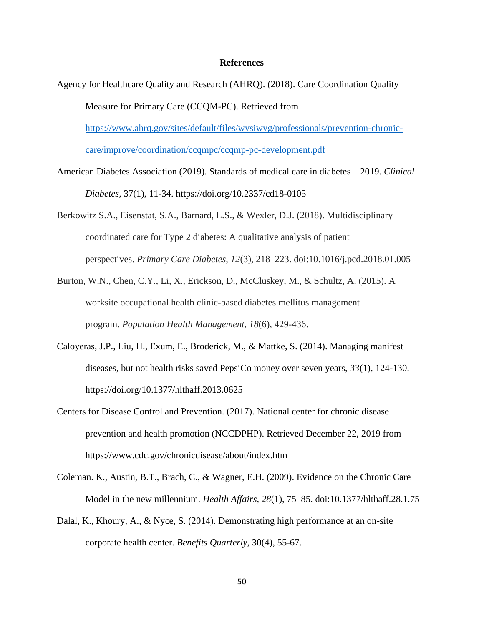## **References**

- Agency for Healthcare Quality and Research (AHRQ). (2018). Care Coordination Quality Measure for Primary Care (CCQM-PC). Retrieved from [https://www.ahrq.gov/sites/default/files/wysiwyg/professionals/prevention-chronic](https://www.ahrq.gov/sites/default/files/wysiwyg/professionals/prevention-chronic-care/improve/coordination/ccqmpc/ccqmp-pc-development.pdf)[care/improve/coordination/ccqmpc/ccqmp-pc-development.pdf](https://www.ahrq.gov/sites/default/files/wysiwyg/professionals/prevention-chronic-care/improve/coordination/ccqmpc/ccqmp-pc-development.pdf)
- American Diabetes Association (2019). Standards of medical care in diabetes 2019. *Clinical Diabetes,* 37(1), 11-34. https://doi.org/10.2337/cd18-0105
- Berkowitz S.A., Eisenstat, S.A., Barnard, L.S., & Wexler, D.J. (2018). Multidisciplinary coordinated care for Type 2 diabetes: A qualitative analysis of patient perspectives. *Primary Care Diabetes*, *12*(3), 218–223. doi:10.1016/j.pcd.2018.01.005
- Burton, W.N., Chen, C.Y., Li, X., Erickson, D., McCluskey, M., & Schultz, A. (2015). A worksite occupational health clinic-based diabetes mellitus management program. *Population Health Management*, *18*(6), 429-436.
- Caloyeras, J.P., Liu, H., Exum, E., Broderick, M., & Mattke, S. (2014). Managing manifest diseases, but not health risks saved PepsiCo money over seven years, *33*(1), 124-130. https://doi.org/10.1377/hlthaff.2013.0625
- Centers for Disease Control and Prevention. (2017). National center for chronic disease prevention and health promotion (NCCDPHP). Retrieved December 22, 2019 from https://www.cdc.gov/chronicdisease/about/index.htm
- Coleman. K., Austin, B.T., Brach, C., & Wagner, E.H. (2009). Evidence on the Chronic Care Model in the new millennium. *Health Affairs, 28*(1), 75–85. doi:10.1377/hlthaff.28.1.75
- Dalal, K., Khoury, A., & Nyce, S. (2014). Demonstrating high performance at an on-site corporate health center. *Benefits Quarterly*, 30(4), 55-67.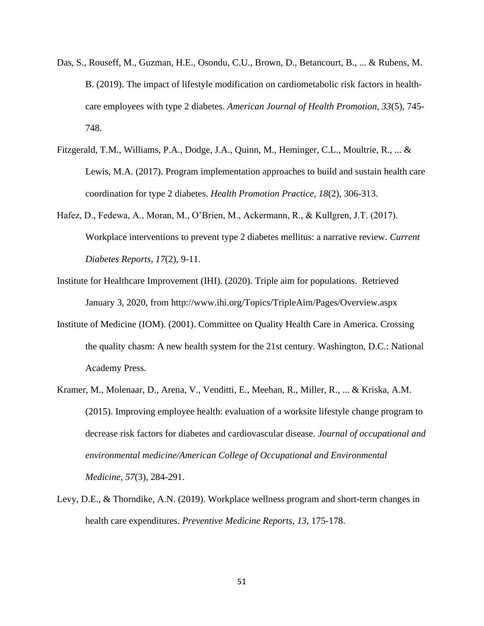- Das, S., Rouseff, M., Guzman, H.E., Osondu, C.U., Brown, D., Betancourt, B., ... & Rubens, M. B. (2019). The impact of lifestyle modification on cardiometabolic risk factors in healthcare employees with type 2 diabetes. *American Journal of Health Promotion, 33*(5), 745- 748.
- Fitzgerald, T.M., Williams, P.A., Dodge, J.A., Quinn, M., Heminger, C.L., Moultrie, R., ... & Lewis, M.A. (2017). Program implementation approaches to build and sustain health care coordination for type 2 diabetes. *Health Promotion Practice, 18*(2), 306-313.
- Hafez, D., Fedewa, A., Moran, M., O'Brien, M., Ackermann, R., & Kullgren, J.T. (2017). Workplace interventions to prevent type 2 diabetes mellitus: a narrative review. *Current Diabetes Reports, 17*(2), 9-11.
- Institute for Healthcare Improvement (IHI). (2020). Triple aim for populations. Retrieved January 3, 2020, from http://www.ihi.org/Topics/TripleAim/Pages/Overview.aspx
- Institute of Medicine (IOM). (2001). Committee on Quality Health Care in America. Crossing the quality chasm: A new health system for the 21st century. Washington, D.C.: National Academy Press.
- Kramer, M., Molenaar, D., Arena, V., Venditti, E., Meehan, R., Miller, R., ... & Kriska, A.M. (2015). Improving employee health: evaluation of a worksite lifestyle change program to decrease risk factors for diabetes and cardiovascular disease. *Journal of occupational and environmental medicine/American College of Occupational and Environmental Medicine, 57*(3), 284-291.
- Levy, D.E., & Thorndike, A.N. (2019). Workplace wellness program and short-term changes in health care expenditures. *Preventive Medicine Reports, 13*, 175-178.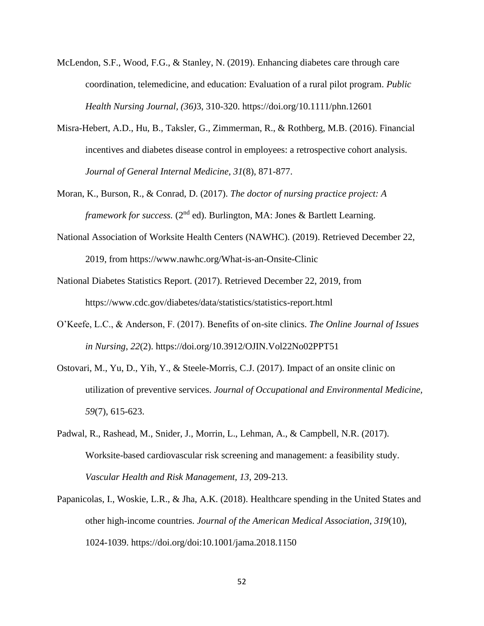- McLendon, S.F., Wood, F.G., & Stanley, N. (2019). Enhancing diabetes care through care coordination, telemedicine, and education: Evaluation of a rural pilot program. *Public Health Nursing Journal, (36)*3, 310-320. https://doi.org/10.1111/phn.12601
- Misra-Hebert, A.D., Hu, B., Taksler, G., Zimmerman, R., & Rothberg, M.B. (2016). Financial incentives and diabetes disease control in employees: a retrospective cohort analysis. *Journal of General Internal Medicine, 31*(8), 871-877.
- Moran, K., Burson, R., & Conrad, D. (2017). *The doctor of nursing practice project: A framework for success.* (2<sup>nd</sup> ed). Burlington, MA: Jones & Bartlett Learning.
- National Association of Worksite Health Centers (NAWHC). (2019). Retrieved December 22, 2019, from https://www.nawhc.org/What-is-an-Onsite-Clinic
- National Diabetes Statistics Report. (2017). Retrieved December 22, 2019, from https://www.cdc.gov/diabetes/data/statistics/statistics-report.html
- O'Keefe, L.C., & Anderson, F. (2017). Benefits of on-site clinics. *The Online Journal of Issues in Nursing*, *22*(2). https://doi.org/10.3912/OJIN.Vol22No02PPT51
- Ostovari, M., Yu, D., Yih, Y., & Steele-Morris, C.J. (2017). Impact of an onsite clinic on utilization of preventive services. *Journal of Occupational and Environmental Medicine, 59*(7), 615-623.
- Padwal, R., Rashead, M., Snider, J., Morrin, L., Lehman, A., & Campbell, N.R. (2017). Worksite-based cardiovascular risk screening and management: a feasibility study. *Vascular Health and Risk Management, 13*, 209-213.
- Papanicolas, I., Woskie, L.R., & Jha, A.K. (2018). Healthcare spending in the United States and other high-income countries. *Journal of the American Medical Association*, *319*(10), 1024-1039. https://doi.org/doi:10.1001/jama.2018.1150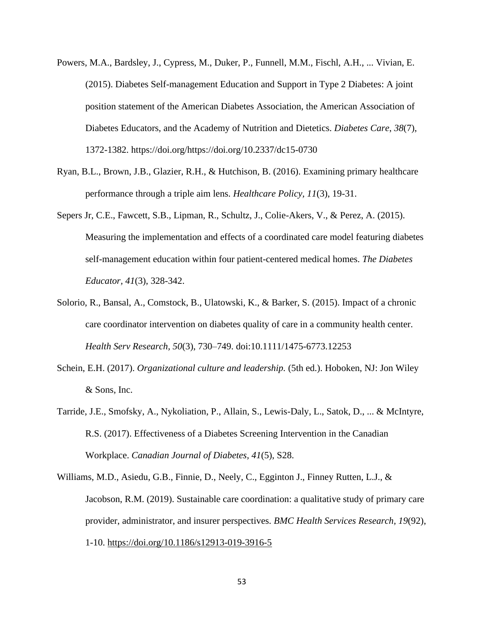- Powers, M.A., Bardsley, J., Cypress, M., Duker, P., Funnell, M.M., Fischl, A.H., ... Vivian, E. (2015). Diabetes Self-management Education and Support in Type 2 Diabetes: A joint position statement of the American Diabetes Association, the American Association of Diabetes Educators, and the Academy of Nutrition and Dietetics. *Diabetes Care*, *38*(7), 1372-1382. https://doi.org/https://doi.org/10.2337/dc15-0730
- Ryan, B.L., Brown, J.B., Glazier, R.H., & Hutchison, B. (2016). Examining primary healthcare performance through a triple aim lens. *Healthcare Policy, 11*(3), 19-31.
- Sepers Jr, C.E., Fawcett, S.B., Lipman, R., Schultz, J., Colie-Akers, V., & Perez, A. (2015). Measuring the implementation and effects of a coordinated care model featuring diabetes self-management education within four patient-centered medical homes. *The Diabetes Educator, 41*(3), 328-342.
- Solorio, R., Bansal, A., Comstock, B., Ulatowski, K., & Barker, S. (2015). Impact of a chronic care coordinator intervention on diabetes quality of care in a community health center. *Health Serv Research, 50*(3), 730–749. doi:10.1111/1475-6773.12253
- Schein, E.H. (2017). *Organizational culture and leadership.* (5th ed.). Hoboken, NJ: Jon Wiley & Sons, Inc.
- Tarride, J.E., Smofsky, A., Nykoliation, P., Allain, S., Lewis-Daly, L., Satok, D., ... & McIntyre, R.S. (2017). Effectiveness of a Diabetes Screening Intervention in the Canadian Workplace. *Canadian Journal of Diabetes, 41*(5), S28.
- Williams, M.D., Asiedu, G.B., Finnie, D., Neely, C., Egginton J., Finney Rutten, L.J., & Jacobson, R.M. (2019). Sustainable care coordination: a qualitative study of primary care provider, administrator, and insurer perspectives. *BMC Health Services Research, 19*(92), 1-10.<https://doi.org/10.1186/s12913-019-3916-5>